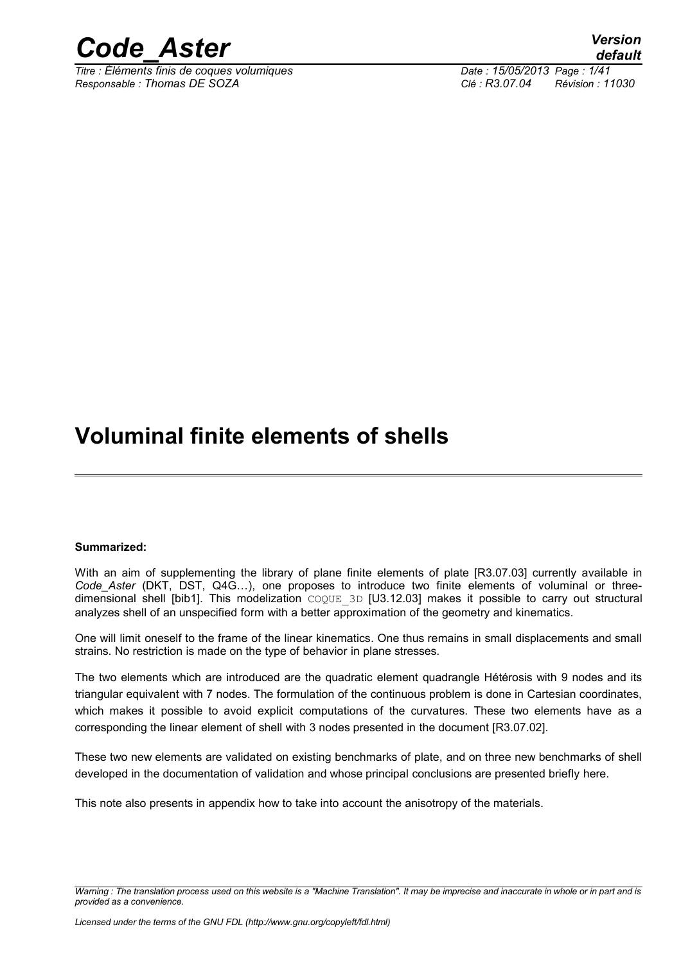

*Titre : Éléments finis de coques volumiques Date : 15/05/2013 Page : 1/41 Responsable : Thomas DE SOZA Clé : R3.07.04 Révision : 11030*

## **Voluminal finite elements of shells**

#### **Summarized:**

With an aim of supplementing the library of plane finite elements of plate [R3.07.03] currently available in *Code\_Aster* (DKT, DST, Q4G…), one proposes to introduce two finite elements of voluminal or threedimensional shell [bib1]. This modelization  $COQUE$  3D [U3.12.03] makes it possible to carry out structural analyzes shell of an unspecified form with a better approximation of the geometry and kinematics.

One will limit oneself to the frame of the linear kinematics. One thus remains in small displacements and small strains. No restriction is made on the type of behavior in plane stresses.

The two elements which are introduced are the quadratic element quadrangle Hétérosis with 9 nodes and its triangular equivalent with 7 nodes. The formulation of the continuous problem is done in Cartesian coordinates, which makes it possible to avoid explicit computations of the curvatures. These two elements have as a corresponding the linear element of shell with 3 nodes presented in the document [R3.07.02].

These two new elements are validated on existing benchmarks of plate, and on three new benchmarks of shell developed in the documentation of validation and whose principal conclusions are presented briefly here.

This note also presents in appendix how to take into account the anisotropy of the materials.

*Warning : The translation process used on this website is a "Machine Translation". It may be imprecise and inaccurate in whole or in part and is provided as a convenience.*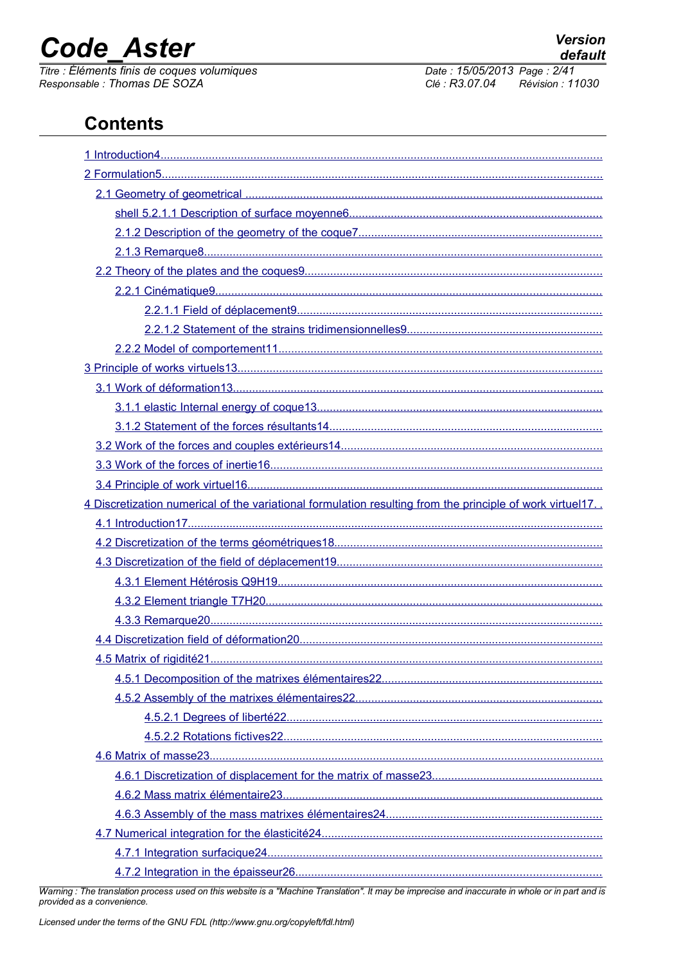## **Code Aster**

Titre : Éléments finis de coques volumiques Responsable: Thomas DE SOZA

Date: 15/05/2013 Page: 2/41 Clé : R3.07.04 Révision : 11030

## **Contents**

| 4 Discretization numerical of the variational formulation resulting from the principle of work virtuel17. |
|-----------------------------------------------------------------------------------------------------------|
|                                                                                                           |
|                                                                                                           |
|                                                                                                           |
|                                                                                                           |
|                                                                                                           |
|                                                                                                           |
|                                                                                                           |
|                                                                                                           |
|                                                                                                           |
|                                                                                                           |
|                                                                                                           |
|                                                                                                           |
|                                                                                                           |
|                                                                                                           |
|                                                                                                           |
|                                                                                                           |
|                                                                                                           |
|                                                                                                           |
|                                                                                                           |

Warning : The translation process used on this website is a "Machine Translation". It may be imprecise and inaccurate in whole or in part and is provided as a convenience.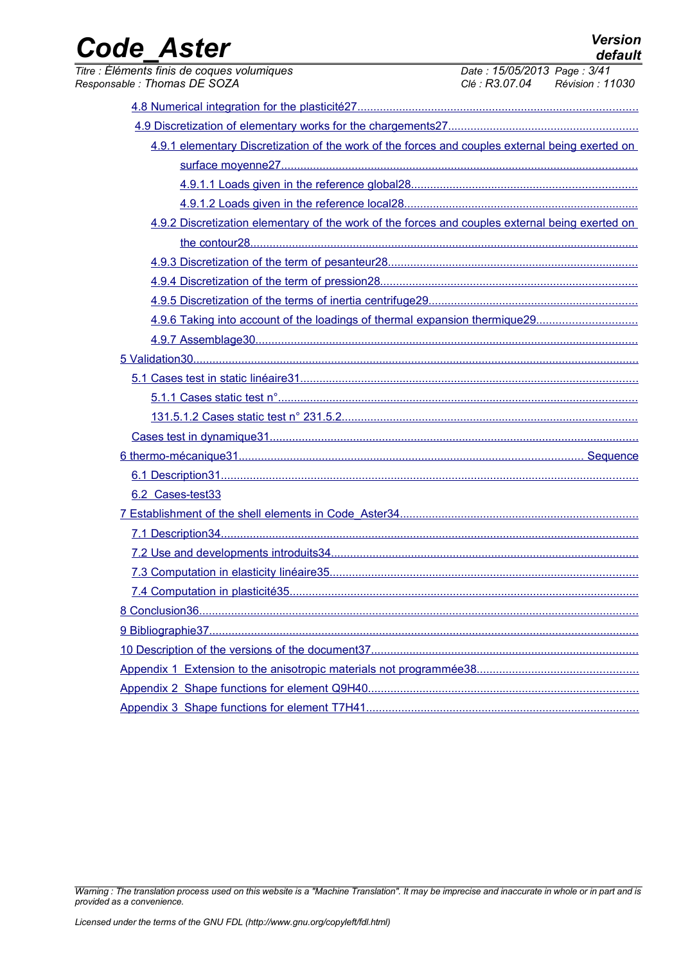| <b>Code Aster</b>                                                                               |                                                                | <b>Version</b><br>default |
|-------------------------------------------------------------------------------------------------|----------------------------------------------------------------|---------------------------|
| Titre : Éléments finis de coques volumiques<br>Responsable: Thomas DE SOZA                      | Date: 15/05/2013 Page: 3/41<br>Clé : R3.07.04 Révision : 11030 |                           |
|                                                                                                 |                                                                |                           |
|                                                                                                 |                                                                |                           |
| 4.9.1 elementary Discretization of the work of the forces and couples external being exerted on |                                                                |                           |
|                                                                                                 |                                                                |                           |
|                                                                                                 |                                                                |                           |
|                                                                                                 |                                                                |                           |
| 4.9.2 Discretization elementary of the work of the forces and couples external being exerted on |                                                                |                           |
|                                                                                                 |                                                                |                           |
|                                                                                                 |                                                                |                           |
|                                                                                                 |                                                                |                           |
|                                                                                                 |                                                                |                           |
| 4.9.6 Taking into account of the loadings of thermal expansion thermique29                      |                                                                |                           |
|                                                                                                 |                                                                |                           |
|                                                                                                 |                                                                |                           |
|                                                                                                 |                                                                |                           |
|                                                                                                 |                                                                |                           |
|                                                                                                 |                                                                |                           |
|                                                                                                 |                                                                |                           |
|                                                                                                 |                                                                |                           |
|                                                                                                 |                                                                |                           |
| 6.2 Cases-test33                                                                                |                                                                |                           |
|                                                                                                 |                                                                |                           |
|                                                                                                 |                                                                |                           |
|                                                                                                 |                                                                |                           |
|                                                                                                 |                                                                |                           |
|                                                                                                 |                                                                |                           |
|                                                                                                 |                                                                |                           |
|                                                                                                 |                                                                |                           |
|                                                                                                 |                                                                |                           |
|                                                                                                 |                                                                |                           |
|                                                                                                 |                                                                |                           |
|                                                                                                 |                                                                |                           |

*Warning : The translation process used on this website is a "Machine Translation". It may be imprecise and inaccurate in whole or in part and is provided as a convenience.*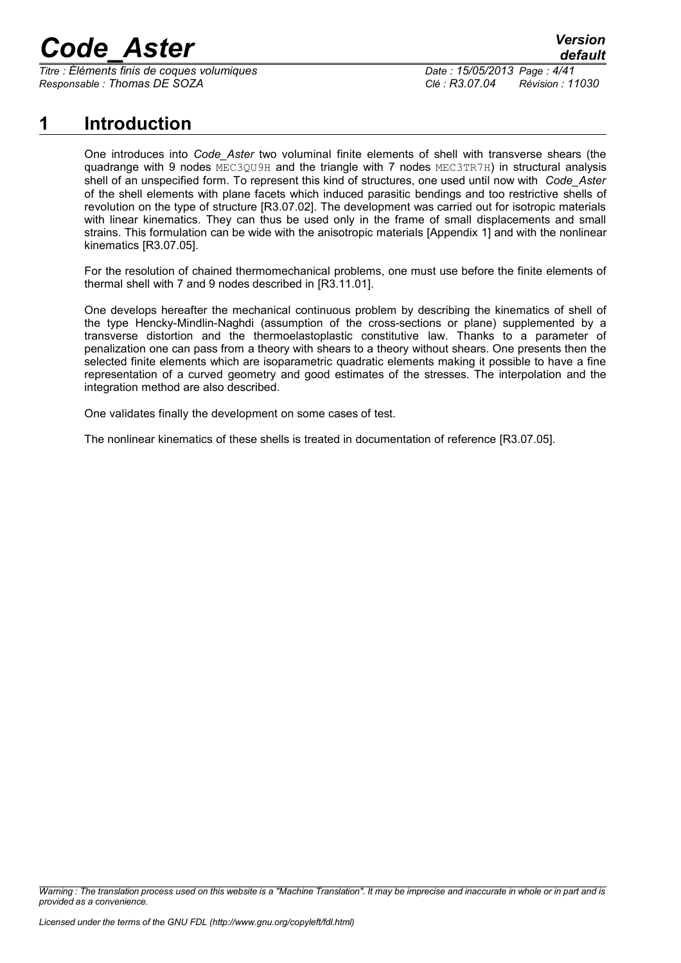*Titre : Éléments finis de coques volumiques Date : 15/05/2013 Page : 4/41 Responsable : Thomas DE SOZA Clé : R3.07.04 Révision : 11030*

## **1 Introduction**

<span id="page-3-0"></span>One introduces into *Code\_Aster* two voluminal finite elements of shell with transverse shears (the quadrange with 9 nodes MEC3QU9H and the triangle with 7 nodes MEC3TR7H) in structural analysis shell of an unspecified form. To represent this kind of structures, one used until now with *Code\_Aster* of the shell elements with plane facets which induced parasitic bendings and too restrictive shells of revolution on the type of structure [R3.07.02]. The development was carried out for isotropic materials with linear kinematics. They can thus be used only in the frame of small displacements and small strains. This formulation can be wide with the anisotropic materials [Appendix 1] and with the nonlinear kinematics [R3.07.05].

For the resolution of chained thermomechanical problems, one must use before the finite elements of thermal shell with 7 and 9 nodes described in [R3.11.01].

One develops hereafter the mechanical continuous problem by describing the kinematics of shell of the type Hencky-Mindlin-Naghdi (assumption of the cross-sections or plane) supplemented by a transverse distortion and the thermoelastoplastic constitutive law. Thanks to a parameter of penalization one can pass from a theory with shears to a theory without shears. One presents then the selected finite elements which are isoparametric quadratic elements making it possible to have a fine representation of a curved geometry and good estimates of the stresses. The interpolation and the integration method are also described.

One validates finally the development on some cases of test.

The nonlinear kinematics of these shells is treated in documentation of reference [R3.07.05].

*Warning : The translation process used on this website is a "Machine Translation". It may be imprecise and inaccurate in whole or in part and is provided as a convenience.*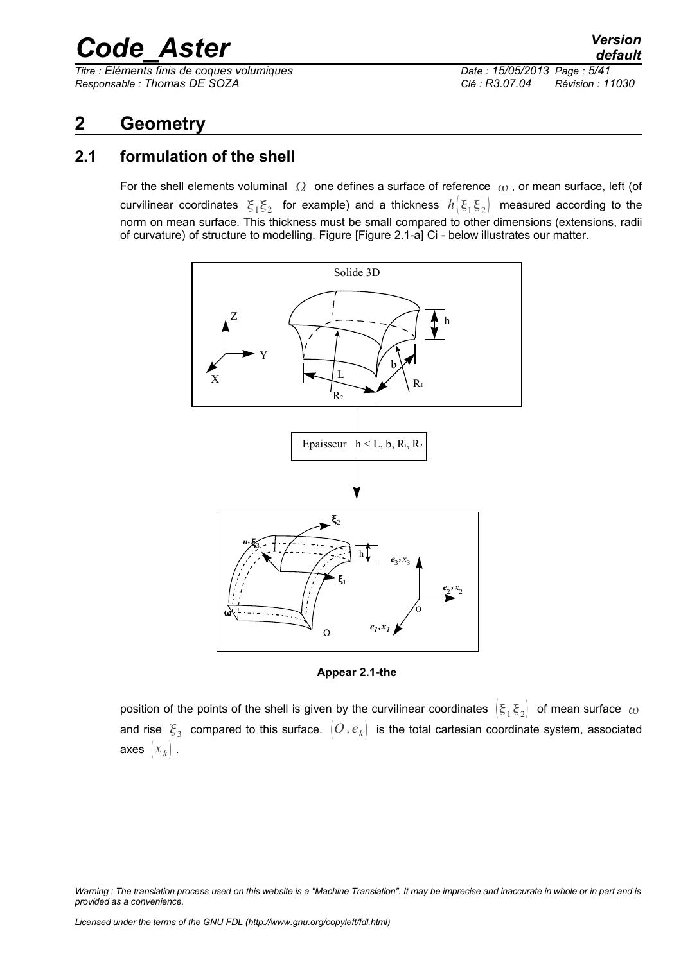*Titre : Éléments finis de coques volumiques Date : 15/05/2013 Page : 5/41 Responsable : Thomas DE SOZA Clé : R3.07.04 Révision : 11030*

## <span id="page-4-1"></span>**2 Geometry**

### **2.1 formulation of the shell**

<span id="page-4-0"></span>For the shell elements voluminal  $\Omega$  one defines a surface of reference  $\omega$ , or mean surface, left (of curvilinear coordinates  $|\xi_1 \xi_2|$  for example) and a thickness  $|h(\xi_1 \xi_2)|$  measured according to the norm on mean surface. This thickness must be small compared to other dimensions (extensions, radii of curvature) of structure to modelling. Figure [Figure 2.1-a] Ci - below illustrates our matter.



**Appear 2.1-the** 

position of the points of the shell is given by the curvilinear coordinates  $\, \big|\xi_1 \xi_2\big| \,$  of mean surface  $\,\omega$ and rise  $\,\xi_{3}\,$  compared to this surface.  $\,\left[O$  ,  $e_{k}\right]\,$  is the total cartesian coordinate system, associated axes  $|x_k|$ .

*Warning : The translation process used on this website is a "Machine Translation". It may be imprecise and inaccurate in whole or in part and is provided as a convenience.*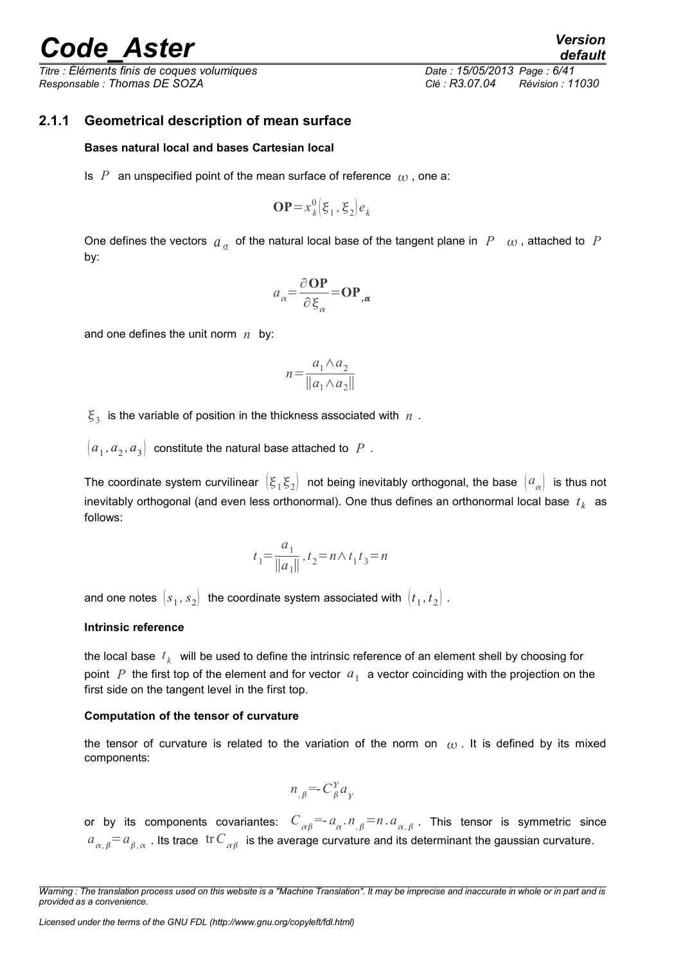*Titre : Éléments finis de coques volumiques Date : 15/05/2013 Page : 6/41 Responsable : Thomas DE SOZA Clé : R3.07.04 Révision : 11030*

#### **2.1.1 Geometrical description of mean surface**

#### <span id="page-5-0"></span>**Bases natural local and bases Cartesian local**

Is  $P$  an unspecified point of the mean surface of reference  $\mu$ , one a:

$$
\mathbf{OP} = x_k^0 \left( \xi_1, \xi_2 \right) e_k
$$

One defines the vectors  $a_{\alpha}$  of the natural local base of the tangent plane in  $P_{-\alpha}$ , attached to  $P$ by:

$$
a_{\alpha} = \frac{\partial \textbf{OP}}{\partial \xi_{\alpha}} = \textbf{OP}_{,\alpha}
$$

and one defines the unit norm *n* by:

$$
n = \frac{a_1 \wedge a_2}{\|a_1 \wedge a_2\|}
$$

 $\xi_3$  is the variable of position in the thickness associated with  $n$ .

 $\left[ a_1, a_2, a_3 \right]$  constitute the natural base attached to  $\,P\,$  .

The coordinate system curvilinear  $\big(\xi_1 \xi_2\big)$  not being inevitably orthogonal, the base  $\big(a_\alpha\big)$  is thus not inevitably orthogonal (and even less orthonormal). One thus defines an orthonormal local base  $|t_k\rangle$  as follows:

$$
t_1 = \frac{a_1}{\|a_1\|}, t_2 = n \wedge t_1 t_3 = n
$$

and one notes  $\, [s_{1}, s_{2}] \,$  the coordinate system associated with  $\, [t_{1}, t_{2}] \,$  .

#### **Intrinsic reference**

the local base  $\,t_{k}\,$  will be used to define the intrinsic reference of an element shell by choosing for point  $|P|$  the first top of the element and for vector  $|a|_1$  a vector coinciding with the projection on the first side on the tangent level in the first top.

#### **Computation of the tensor of curvature**

the tensor of curvature is related to the variation of the norm on  $\omega$ . It is defined by its mixed components:

$$
n_{,\beta} = C_{\beta}^{\gamma} a_{\gamma}
$$

or by its components covariantes:  $C_{\alpha\beta} = a_{\alpha} \cdot n_{,\beta} = n a_{\alpha,\beta}$ . This tensor is symmetric since  $a_{\alpha,\beta}^-=a_{\beta,\,\alpha}^+$  . Its trace  $\,$  tr  $C_{\,\,\alpha\beta}^+$  is the average curvature and its determinant the gaussian curvature.

*Warning : The translation process used on this website is a "Machine Translation". It may be imprecise and inaccurate in whole or in part and is provided as a convenience.*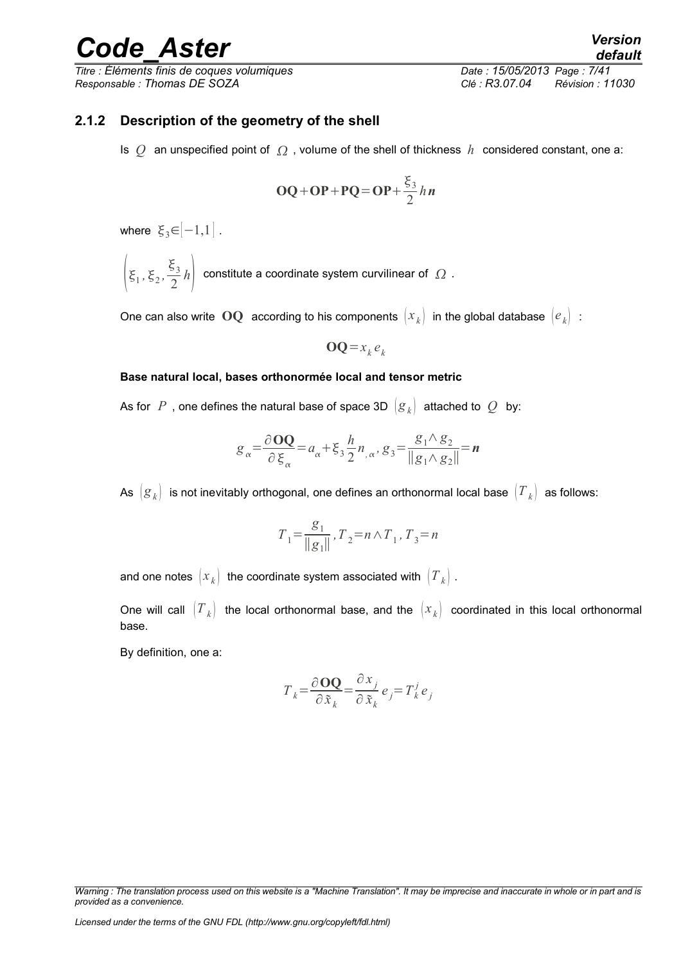*Titre : Éléments finis de coques volumiques Date : 15/05/2013 Page : 7/41 Responsable : Thomas DE SOZA Clé : R3.07.04 Révision : 11030*

#### **2.1.2 Description of the geometry of the shell**

<span id="page-6-0"></span>Is  $Q$  an unspecified point of  $\Omega$ , volume of the shell of thickness  $h$  considered constant, one a:

$$
OQ + OP + PQ = OP + \frac{\xi_3}{2} h n
$$

where  $\xi_3 \in [-1,1]$ .

 $\xi_1, \xi_2, \frac{\xi_3}{2}$  $\left\lfloor \frac{3}{2}h\right\rfloor$  constitute a coordinate system curvilinear of  $\left\lfloor \Omega\right\rfloor$  .

One can also write  $\mathbf{OQ}$  according to his components  $(x_k)$  in the global database  $(e_k)$ :

 $OQ = x_k e_k$ 

#### **Base natural local, bases orthonormée local and tensor metric**

As for *P*, one defines the natural base of space 3D  $|g_k|$  attached to *Q* by:

$$
g_{\alpha} = \frac{\partial \mathbf{OQ}}{\partial \xi_{\alpha}} = a_{\alpha} + \xi_3 \frac{h}{2} n_{,\alpha}, g_3 = \frac{g_1 \wedge g_2}{\|g_1 \wedge g_2\|} = \mathbf{n}
$$

As  $(g_k)$  is not inevitably orthogonal, one defines an orthonormal local base  $(T_k)$  as follows:

$$
T_1 = \frac{g_1}{\|g_1\|}, T_2 = n \wedge T_1, T_3 = n
$$

and one notes  $(x_k)$  the coordinate system associated with  $(T_k)$ .

One will call  $(T_k)$  the local orthonormal base, and the  $(x_k)$  coordinated in this local orthonormal base.

By definition, one a:

$$
T_{k} = \frac{\partial \mathbf{OQ}}{\partial \tilde{x}_{k}} = \frac{\partial x_{j}}{\partial \tilde{x}_{k}} e_{j} = T_{k}^{j} e_{j}
$$

*Warning : The translation process used on this website is a "Machine Translation". It may be imprecise and inaccurate in whole or in part and is provided as a convenience.*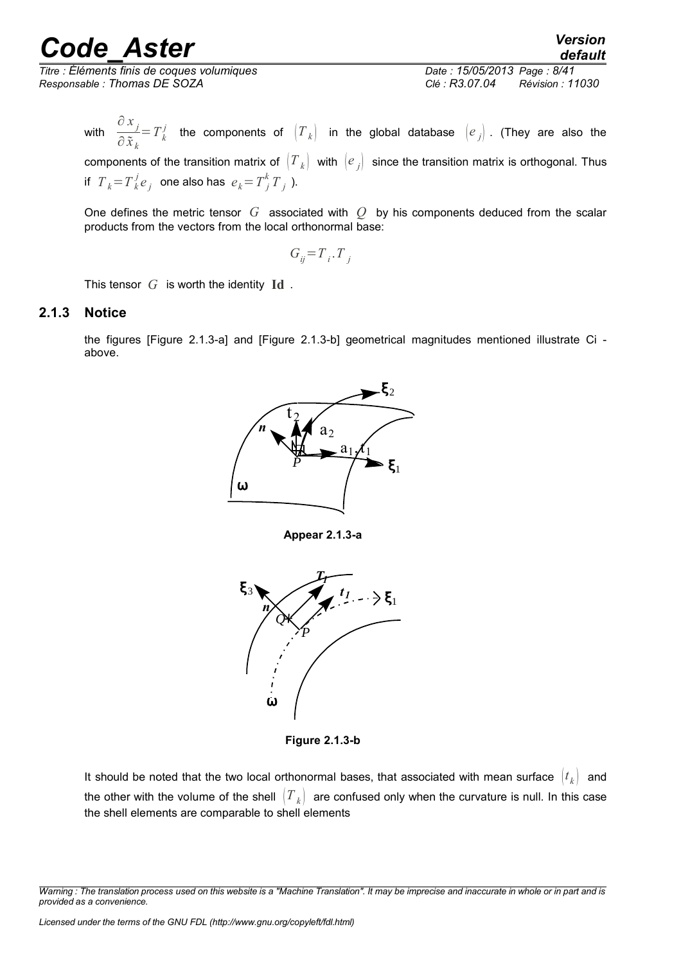*Titre : Éléments finis de coques volumiques Date : 15/05/2013 Page : 8/41 Responsable : Thomas DE SOZA Clé : R3.07.04 Révision : 11030*

with  $\frac{\partial x_j}{\partial x_j}$  $\frac{\partial}{\partial \tilde{x}_k} = T^j_k$  the components of  $\left(T_k\right)$  in the global database  $\left(e_j\right)$ . (They are also the components of the transition matrix of  $(T_k)$  with  $(e_j)$  since the transition matrix is orthogonal. Thus if  $T_k = T_k^j e_j$  one also has  $e_k = T_j^k T_j$  ).

One defines the metric tensor *G* associated with *Q* by his components deduced from the scalar products from the vectors from the local orthonormal base:

$$
G_{ij} = T_i \cdot T_j
$$

<span id="page-7-0"></span>This tensor *G* is worth the identity **Id** .

#### **2.1.3 Notice**

the figures [Figure 2.1.3-a] and [Figure 2.1.3-b] geometrical magnitudes mentioned illustrate Ci above.



**Appear 2.1.3-a**



**Figure 2.1.3-b**

It should be noted that the two local orthonormal bases, that associated with mean surface  $\begin{pmatrix} t_k \end{pmatrix}$  and the other with the volume of the shell  $\left|T_{k}\right|$  are confused only when the curvature is null. In this case the shell elements are comparable to shell elements

*Warning : The translation process used on this website is a "Machine Translation". It may be imprecise and inaccurate in whole or in part and is provided as a convenience.*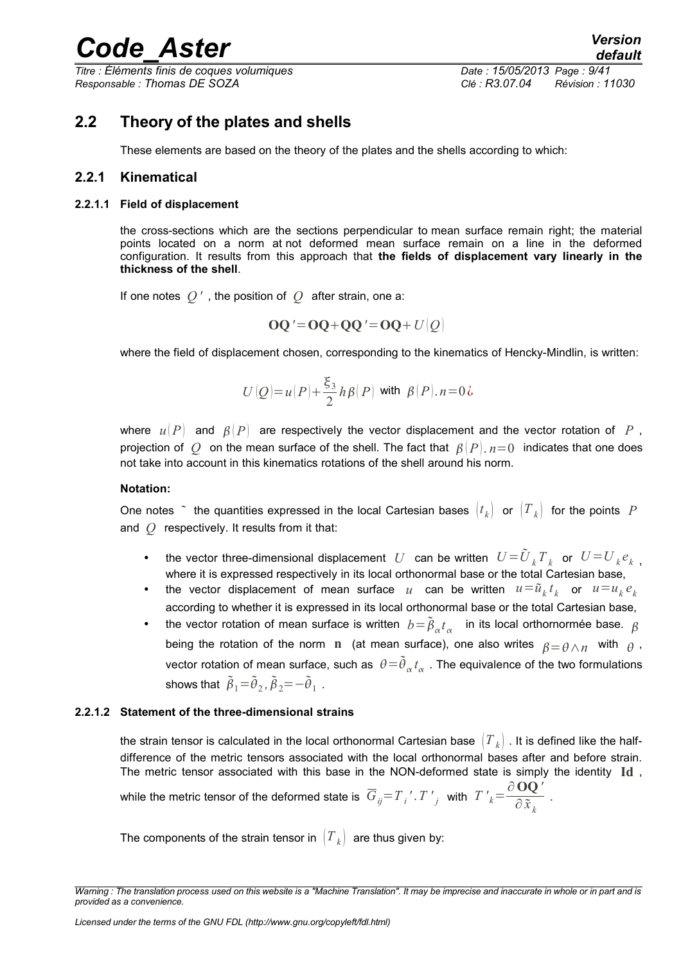*Titre : Éléments finis de coques volumiques Date : 15/05/2013 Page : 9/41 Responsable : Thomas DE SOZA Clé : R3.07.04 Révision : 11030*

.

### **2.2 Theory of the plates and shells**

<span id="page-8-3"></span><span id="page-8-2"></span>These elements are based on the theory of the plates and the shells according to which:

#### **2.2.1 Kinematical**

#### **2.2.1.1 Field of displacement**

<span id="page-8-1"></span>the cross-sections which are the sections perpendicular to mean surface remain right; the material points located on a norm at not deformed mean surface remain on a line in the deformed configuration. It results from this approach that **the fields of displacement vary linearly in the thickness of the shell**.

If one notes *Q '* , the position of *Q* after strain, one a:

$$
OQ' = OQ + QQ' = OQ + U|Q|
$$

where the field of displacement chosen, corresponding to the kinematics of Hencky-Mindlin, is written:

$$
U\left(Q\right)\!=\!\mathfrak{u}\!\left(P\right)\!+\!\frac{\xi_3}{2}\mathop{h}\beta\!\left(P\right)\,\text{with }\,\mathop{\beta}\!\left(P\right)\mathop{.} n\!=\!0\,\mathop{\dot{\mathit{c}}}
$$

where  $u(P)$  and  $\beta(P)$  are respectively the vector displacement and the vector rotation of P, projection of *Q* on the mean surface of the shell. The fact that  $\beta(P)$ ,  $n=0$  indicates that one does not take into account in this kinematics rotations of the shell around his norm.

#### **Notation:**

One notes  $\tilde{\phantom{a}}$  the quantities expressed in the local Cartesian bases  $\begin{pmatrix} t_k \end{pmatrix}$  or  $\begin{pmatrix} T_k \end{pmatrix}$  for the points  $\;P$ and *Q* respectively. It results from it that:

- the vector three-dimensional displacement *U* can be written  $U = \tilde{U}_k T_k$  or  $U = U_k e_k$ , where it is expressed respectively in its local orthonormal base or the total Cartesian base,
- the vector displacement of mean surface  $u$  can be written  $u = \tilde{u}_k t_k$  or  $u = u_k e_k$ according to whether it is expressed in its local orthonormal base or the total Cartesian base,
- the vector rotation of mean surface is written  $b = \tilde{\beta}_{\alpha} t_{\alpha}$  in its local orthornormée base.  $\beta$ being the rotation of the norm **n** (at mean surface), one also writes  $\rho = \rho \wedge n$  with  $\rho$ , vector rotation of mean surface, such as  $\;\theta \!=\! \widetilde{\theta}_{_\alpha} t_{_\alpha}$  . The equivalence of the two formulations shows that  $\tilde{\beta}_1 = \tilde{\theta}_2$ ,  $\tilde{\beta}_2 = -\tilde{\theta}_1$ .

#### **2.2.1.2 Statement of the three-dimensional strains**

<span id="page-8-0"></span>the strain tensor is calculated in the local orthonormal Cartesian base  $|T_k|$  . It is defined like the halfdifference of the metric tensors associated with the local orthonormal bases after and before strain. The metric tensor associated with this base in the NON-deformed state is simply the identity **Id** ,

while the metric tensor of the deformed state is  $\overline{G}_{ij}$   $=T$   $_i'$  .  $T$   $'_j$  with  $\overline{T}$   $'_k$   $=\frac{\partial\, {\bf OQ}\,'}{\partial\, \tilde{\bf x}}$ ∂ *x k*

The components of the strain tensor in  $(T_k)$  are thus given by:

*Warning : The translation process used on this website is a "Machine Translation". It may be imprecise and inaccurate in whole or in part and is provided as a convenience.*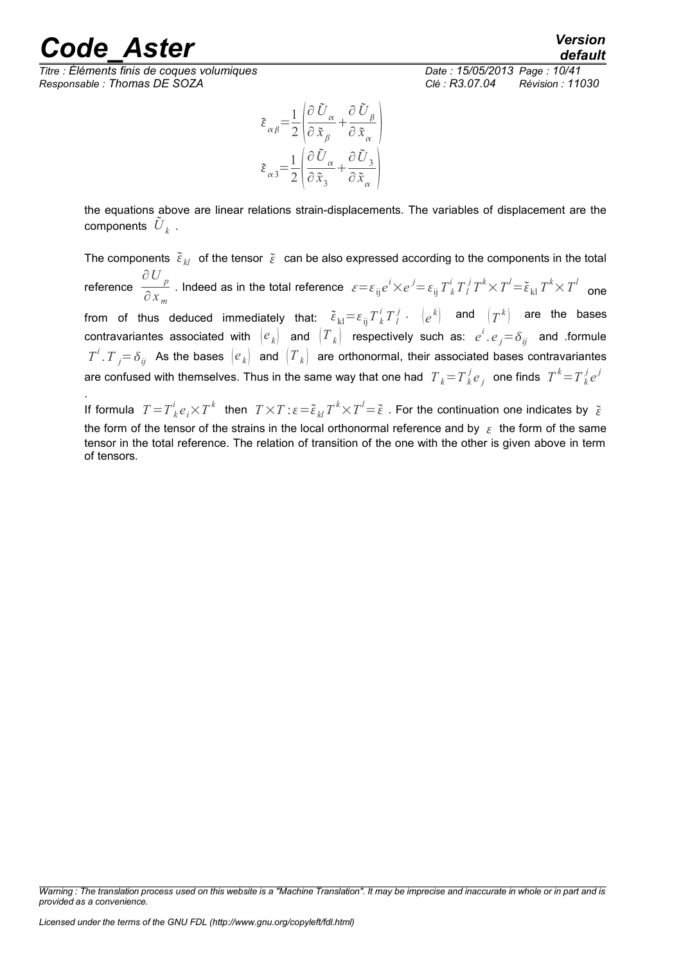*Titre : Éléments finis de coques volumiques Date : 15/05/2013 Page : 10/41 Responsable : Thomas DE SOZA Clé : R3.07.04 Révision : 11030*

$$
\tilde{\varepsilon}_{\alpha\beta} = \frac{1}{2} \left( \frac{\partial \tilde{U}_{\alpha}}{\partial \tilde{x}_{\beta}} + \frac{\partial \tilde{U}_{\beta}}{\partial \tilde{x}_{\alpha}} \right)
$$
\n
$$
\tilde{\varepsilon}_{\alpha 3} = \frac{1}{2} \left( \frac{\partial \tilde{U}_{\alpha}}{\partial \tilde{x}_{3}} + \frac{\partial \tilde{U}_{3}}{\partial \tilde{x}_{\alpha}} \right)
$$

the equations above are linear relations strain-displacements. The variables of displacement are the components  $\tilde{{U}}_k$  .

The components  $\, \tilde{\varepsilon}_{kl} \,$  of the tensor  $\, \tilde{\varepsilon} \,$  can be also expressed according to the components in the total reference ∂*U p*  $\frac{\partial\bigtriangledown\rho}{\partial x_{m}}$  . Indeed as in the total reference  $\left\| \varepsilon{=}\varepsilon_{ij}e^{i}{\times}e^{j{=}\varepsilon_{ij}}T^{i}_{~k}T^{j}_{~l}T^{k}{\times}T^{l{=}\tilde{\varepsilon}_{kl}}T^{k}{\times}T^{l}\right\|$  one from of thus deduced immediately that:  $\tilde{\epsilon}_{\rm kl} \!=\! \varepsilon_{\rm ij} T^i_k T^j_l$  .  $\left\vert e^k\right\rangle$  and  $\left\vert T^k\right\rangle$  are the bases  $\textsf{contravariantes associated with } \begin{pmatrix} e\ \end{pmatrix} \textsf{ and } \begin{pmatrix} T\ \end{pmatrix}$  respectively such as:  $e^i.e_j \!=\!\delta_{ij}$  and .formule  $T^i$ .  $T$  *j*=  $\delta_{ij}$  As the bases  $\big(e_{k}\big)$  and  $\big(T_{k}\big)$  are orthonormal, their associated bases contravariantes are confused with themselves. Thus in the same way that one had  $\|T_k\!=\!T_k^j e_j\|$  one finds  $\|T^k\!=\!T_k^j e^j\|$ 

. If formula  $T = T^i_{~k}e_i \times T^k$  then  $T \times T$  :  $\varepsilon = \tilde{\epsilon}_{kl}T^k \times T^l = \tilde{\epsilon}$  . For the continuation one indicates by  $\tilde{\epsilon}$ the form of the tensor of the strains in the local orthonormal reference and by  $\epsilon$  the form of the same tensor in the total reference. The relation of transition of the one with the other is given above in term of tensors.

*Warning : The translation process used on this website is a "Machine Translation". It may be imprecise and inaccurate in whole or in part and is provided as a convenience.*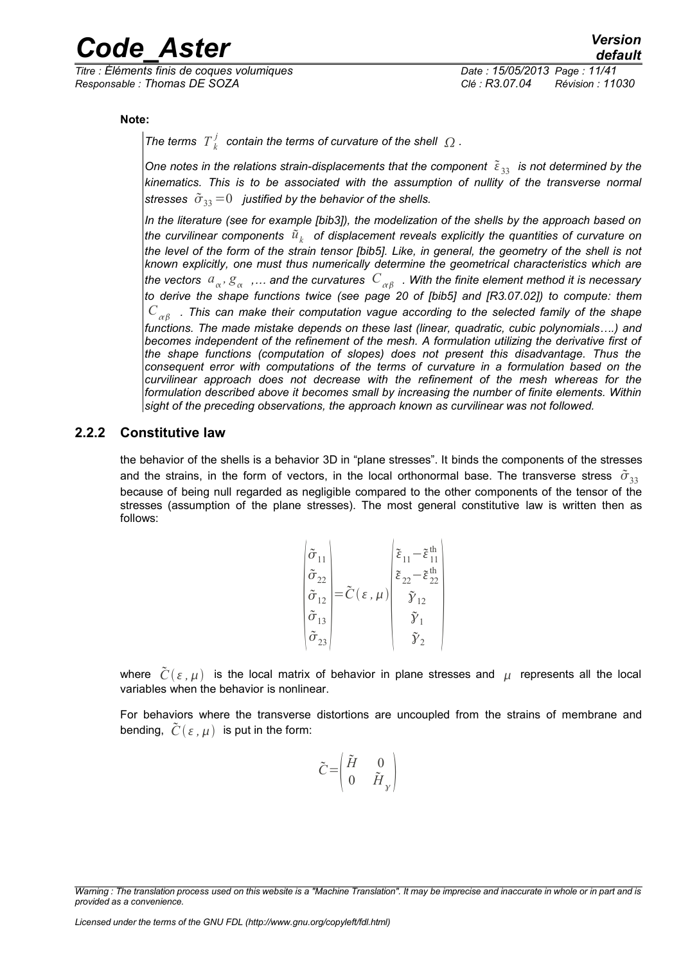*Titre : Éléments finis de coques volumiques Date : 15/05/2013 Page : 11/41 Responsable : Thomas DE SOZA Clé : R3.07.04 Révision : 11030*

**Note:**

The terms  $T^j_k$  contain the terms of curvature of the shell  $\varOmega$  .

*One notes in the relations strain-displacements that the component*  $\tilde{\epsilon}_{33}$  *is not determined by the kinematics. This is to be associated with the assumption of nullity of the transverse normal stresses*  $\tilde{\sigma}_{33}=0$  *justified by the behavior of the shells.* 

*In the literature (see for example [bib3]), the modelization of the shells by the approach based on* the curvilinear components  $\left.\tilde{u}_k\right|$  of displacement reveals explicitly the quantities of curvature on *the level of the form of the strain tensor [bib5]. Like, in general, the geometry of the shell is not known explicitly, one must thus numerically determine the geometrical characteristics which are* the vectors  $a_\alpha$ ,  $g_\alpha$  ,… and the curvatures  $\,C_{\,\alpha\beta}\,$  . With the finite element method it is necessary *to derive the shape functions twice (see page 20 of [bib5] and [R3.07.02]) to compute: them*  $C_{\ \alpha\beta\ \ \ .}$  This can make their computation vague according to the selected family of the shape *functions. The made mistake depends on these last (linear, quadratic, cubic polynomials….) and becomes independent of the refinement of the mesh. A formulation utilizing the derivative first of the shape functions (computation of slopes) does not present this disadvantage. Thus the consequent error with computations of the terms of curvature in a formulation based on the curvilinear approach does not decrease with the refinement of the mesh whereas for the formulation described above it becomes small by increasing the number of finite elements. Within sight of the preceding observations, the approach known as curvilinear was not followed.*

#### **2.2.2 Constitutive law**

<span id="page-10-0"></span>the behavior of the shells is a behavior 3D in "plane stresses". It binds the components of the stresses and the strains, in the form of vectors, in the local orthonormal base. The transverse stress  $\tilde{\sigma}_{33}$ because of being null regarded as negligible compared to the other components of the tensor of the stresses (assumption of the plane stresses). The most general constitutive law is written then as follows:

$$
\begin{pmatrix}\n\tilde{\sigma}_{11} \\
\tilde{\sigma}_{22} \\
\tilde{\sigma}_{12} \\
\tilde{\sigma}_{13} \\
\tilde{\sigma}_{23}\n\end{pmatrix} = \tilde{C}(\varepsilon, \mu) \begin{pmatrix}\n\tilde{\varepsilon}_{11} - \tilde{\varepsilon}_{11}^{th} \\
\tilde{\varepsilon}_{22} - \tilde{\varepsilon}_{22}^{th} \\
\tilde{\gamma}_{12} \\
\tilde{\gamma}_{2} \\
\tilde{\gamma}_{2}\n\end{pmatrix}
$$

where  $\tilde{C}(\varepsilon, \mu)$  is the local matrix of behavior in plane stresses and  $\mu$  represents all the local variables when the behavior is nonlinear.

For behaviors where the transverse distortions are uncoupled from the strains of membrane and bending,  $\tilde{C}(\varepsilon, \mu)$  is put in the form:

$$
\tilde{C} = \begin{pmatrix} \tilde{H} & 0 \\ 0 & \tilde{H}_{\gamma} \end{pmatrix}
$$

*Licensed under the terms of the GNU FDL (http://www.gnu.org/copyleft/fdl.html)*

*Warning : The translation process used on this website is a "Machine Translation". It may be imprecise and inaccurate in whole or in part and is provided as a convenience.*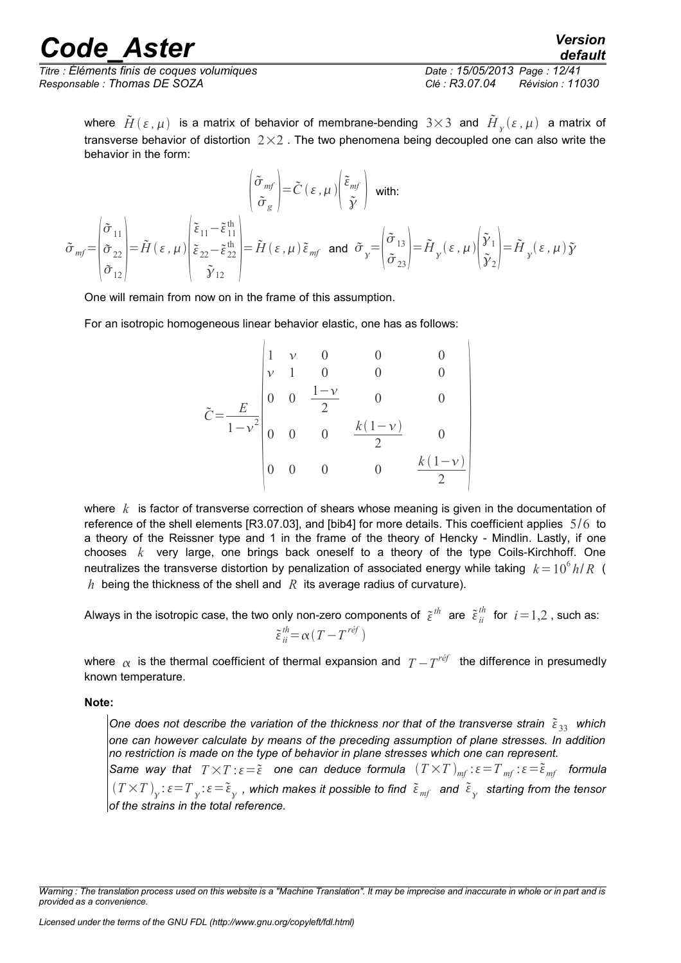*Titre : Éléments finis de coques volumiques Date : 15/05/2013 Page : 12/41 Responsable : Thomas DE SOZA Clé : R3.07.04 Révision : 11030*

*default*

where  $\tilde H(\varepsilon,\mu)$  is a matrix of behavior of membrane-bending  $3{\times}3$  and  $\tilde H_{\gamma}(\varepsilon,\mu)$  a matrix of transverse behavior of distortion  $2\times 2$ . The two phenomena being decoupled one can also write the behavior in the form:

$$
\tilde{\sigma}_{mf} = \begin{pmatrix} \tilde{\sigma}_{11} \\ \tilde{\sigma}_{22} \\ \tilde{\sigma}_{12} \end{pmatrix} = \tilde{H}(\varepsilon, \mu) \begin{pmatrix} \tilde{\varepsilon}_{11} - \tilde{\varepsilon}_{11}^{th} \\ \tilde{\varepsilon}_{22} - \tilde{\varepsilon}_{22}^{th} \\ \tilde{\gamma}_{12} \end{pmatrix} = \tilde{H}(\varepsilon, \mu) \tilde{\varepsilon}_{mf} \text{ and } \tilde{\sigma}_{y} = \begin{pmatrix} \tilde{\sigma}_{13} \\ \tilde{\sigma}_{23} \end{pmatrix} = \tilde{H}_{y}(\varepsilon, \mu) \begin{pmatrix} \tilde{\gamma}_{1} \\ \tilde{\gamma}_{2} \end{pmatrix} = \tilde{H}_{y}(\varepsilon, \mu) \tilde{\gamma}
$$

One will remain from now on in the frame of this assumption.

For an isotropic homogeneous linear behavior elastic, one has as follows:

$$
\tilde{C} = \frac{E}{1 - v^2} \begin{vmatrix}\n1 & v & 0 & 0 & 0 \\
v & 1 & 0 & 0 & 0 \\
0 & 0 & \frac{1 - v}{2} & 0 & 0 \\
0 & 0 & 0 & \frac{k(1 - v)}{2} & 0 \\
0 & 0 & 0 & 0 & \frac{k(1 - v)}{2}\n\end{vmatrix}
$$

where *k* is factor of transverse correction of shears whose meaning is given in the documentation of reference of the shell elements [R3.07.03], and [bib4] for more details. This coefficient applies 5/6 to a theory of the Reissner type and 1 in the frame of the theory of Hencky - Mindlin. Lastly, if one chooses *k* very large, one brings back oneself to a theory of the type Coils-Kirchhoff. One neutralizes the transverse distortion by penalization of associated energy while taking  $k = 10^6 h/R$  ( *h* being the thickness of the shell and  $R$  its average radius of curvature).

Always in the isotropic case, the two only non-zero components of  $\tilde{\varepsilon}^{th}$  are  $\tilde{\varepsilon}_{ii}^{th}$  for  $\,i\!=\!1,\!2$  , such as:  $\tilde{\varepsilon}^{th}_{ii} = \alpha (T - T^{ref})$ 

where  $\alpha$  is the thermal coefficient of thermal expansion and  $\it{T}$   $T'^{e\!f}$  the difference in presumedly known temperature.

**Note:**

One does not describe the variation of the thickness nor that of the transverse strain  $\tilde{\epsilon}_{33}$  which *one can however calculate by means of the preceding assumption of plane stresses. In addition no restriction is made on the type of behavior in plane stresses which one can represent.*

*Same way that*  $T \times T$  :  $\varepsilon = \tilde{\varepsilon}$  one can deduce formula  $(T \times T)_{mf}$  :  $\varepsilon = T_{mf}$  :  $\varepsilon = \tilde{\varepsilon}_{mf}$  formula  $(T\times T)_{_{\cal Y}}$ :  $\varepsilon\!=\!T_{_{\cal Y}}$ :  $\varepsilon\!=\!\tilde\varepsilon_{_{\cal Y}}$  , which makes it possible to find  $\;\tilde\varepsilon_{_{m\!f}}\;$  and  $\;\tilde\varepsilon_{_{\cal Y}}\;$  starting from the tensor *of the strains in the total reference.*

*Warning : The translation process used on this website is a "Machine Translation". It may be imprecise and inaccurate in whole or in part and is provided as a convenience.*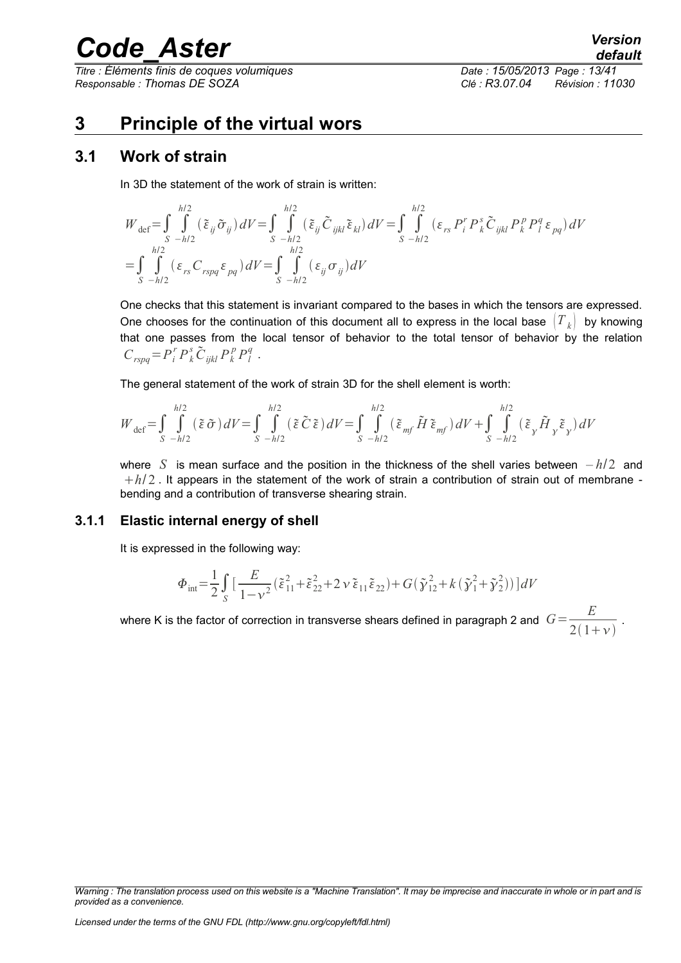*Titre : Éléments finis de coques volumiques Date : 15/05/2013 Page : 13/41 Responsable : Thomas DE SOZA Clé : R3.07.04 Révision : 11030*

### <span id="page-12-2"></span>**3 Principle of the virtual wors**

### **3.1 Work of strain**

<span id="page-12-1"></span>In 3D the statement of the work of strain is written:

$$
W_{\text{def}} = \int_{S} \int_{-h/2}^{h/2} (\tilde{\varepsilon}_{ij} \tilde{\sigma}_{ij}) dV = \int_{S-h/2} \int_{h/2}^{h/2} (\tilde{\varepsilon}_{ij} \tilde{C}_{ijkl} \tilde{\varepsilon}_{kl}) dV = \int_{S-h/2} \int_{-h/2}^{h/2} (\varepsilon_{rs} P_{i}^{r} P_{k}^{s} \tilde{C}_{ijkl} P_{k}^{p} P_{l}^{q} \varepsilon_{pq}) dV
$$
  
= 
$$
\int_{S-h/2} \int_{-h/2}^{h/2} (\varepsilon_{rs} C_{rspq} \varepsilon_{pq}) dV = \int_{S-h/2} \int_{-h/2}^{h/2} (\varepsilon_{ij} \sigma_{ij}) dV
$$

One checks that this statement is invariant compared to the bases in which the tensors are expressed. One chooses for the continuation of this document all to express in the local base  $|T_k|$  by knowing that one passes from the local tensor of behavior to the total tensor of behavior by the relation  $C_{rspq} = P_i^r P_k^s \tilde{C}_{ijkl} P_k^p P_l^q$ .

The general statement of the work of strain 3D for the shell element is worth:

$$
W_{\text{def}} = \int_{S} \int_{-h/2}^{h/2} (\tilde{\varepsilon} \tilde{\sigma}) dV = \int_{S} \int_{-h/2}^{h/2} (\tilde{\varepsilon} \tilde{C} \tilde{\varepsilon}) dV = \int_{S} \int_{-h/2}^{h/2} (\tilde{\varepsilon}_{mf} \tilde{H} \tilde{\varepsilon}_{mf}) dV + \int_{S} \int_{-h/2}^{h/2} (\tilde{\varepsilon}_{y} \tilde{H}_{y} \tilde{\varepsilon}_{y}) dV
$$

where *S* is mean surface and the position in the thickness of the shell varies between *– h*/2 and  $h/2$ . It appears in the statement of the work of strain a contribution of strain out of membrane bending and a contribution of transverse shearing strain.

#### **3.1.1 Elastic internal energy of shell**

<span id="page-12-0"></span>It is expressed in the following way:

$$
\Phi_{\rm int} = \frac{1}{2} \int_{S} \left[ \frac{E}{1 - v^2} (\tilde{\varepsilon}_{11}^2 + \tilde{\varepsilon}_{22}^2 + 2 v \, \tilde{\varepsilon}_{11} \tilde{\varepsilon}_{22}) + G(\tilde{\gamma}_{12}^2 + k (\tilde{\gamma}_1^2 + \tilde{\gamma}_2^2)) \right] dV
$$

where K is the factor of correction in transverse shears defined in paragraph 2 and  $\; G \! = \! \frac{E}{2 \cdot \! A}$  $\frac{1}{2(1+\nu)}$ .

*Warning : The translation process used on this website is a "Machine Translation". It may be imprecise and inaccurate in whole or in part and is provided as a convenience.*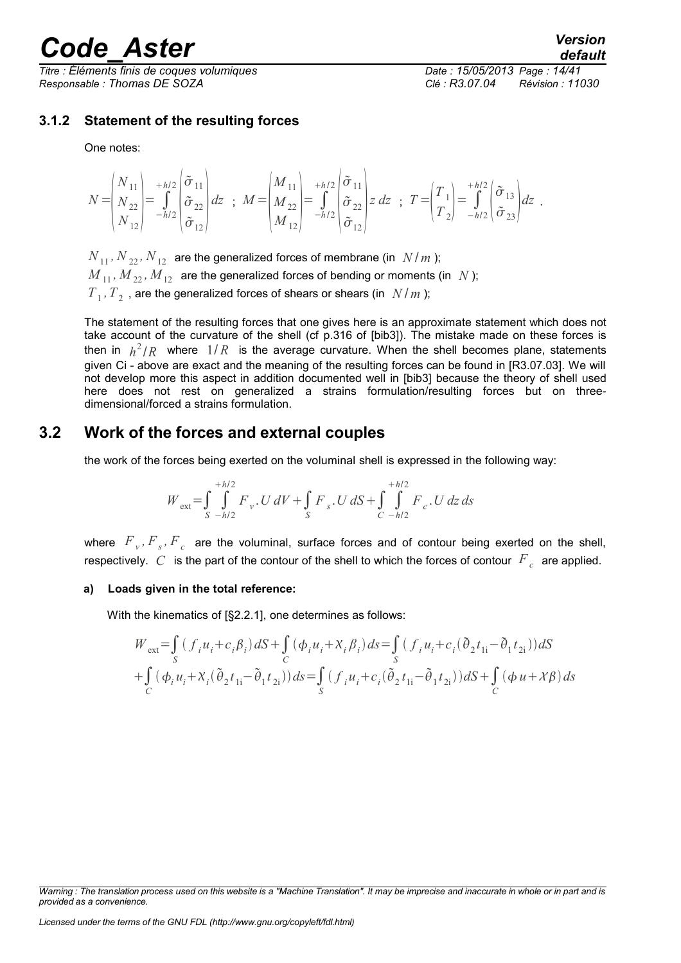*Titre : Éléments finis de coques volumiques Date : 15/05/2013 Page : 14/41 Responsable : Thomas DE SOZA Clé : R3.07.04 Révision : 11030*

#### **3.1.2 Statement of the resulting forces**

<span id="page-13-1"></span>One notes:

$$
N = \begin{pmatrix} N_{11} \\ N_{22} \\ N_{12} \end{pmatrix} = \int_{-h/2}^{h/2} \begin{pmatrix} \tilde{\sigma}_{11} \\ \tilde{\sigma}_{22} \\ \tilde{\sigma}_{12} \end{pmatrix} dz \; ; \; M = \begin{pmatrix} M_{11} \\ M_{22} \\ M_{12} \end{pmatrix} = \int_{-h/2}^{h/2} \begin{pmatrix} \tilde{\sigma}_{11} \\ \tilde{\sigma}_{22} \\ \tilde{\sigma}_{12} \end{pmatrix} z \; dz \; ; \; T = \begin{pmatrix} T_{1} \\ T_{2} \end{pmatrix} = \int_{-h/2}^{h/2} \begin{pmatrix} \tilde{\sigma}_{13} \\ \tilde{\sigma}_{23} \end{pmatrix} dz \; .
$$

 $N_{11}$ ,  $N_{22}$ ,  $N_{12}$  are the generalized forces of membrane (in  $N/m$ );  $M_{11}$ ,  $M_{22}$ ,  $M_{12}$  are the generalized forces of bending or moments (in *N*);  $T_{1}$ ,  $T_{2}$  , are the generalized forces of shears or shears (in  $N/m$  );

The statement of the resulting forces that one gives here is an approximate statement which does not take account of the curvature of the shell (cf p.316 of [bib3]). The mistake made on these forces is then in  $h^2/R$  where  $1/R$  is the average curvature. When the shell becomes plane, statements given Ci - above are exact and the meaning of the resulting forces can be found in [R3.07.03]. We will not develop more this aspect in addition documented well in [bib3] because the theory of shell used here does not rest on generalized a strains formulation/resulting forces but on threedimensional/forced a strains formulation.

### **3.2 Work of the forces and external couples**

<span id="page-13-0"></span>the work of the forces being exerted on the voluminal shell is expressed in the following way:

$$
W_{ext} = \int_{S}^{+h/2} \int_{-h/2}^{h/2} F_{v} \cdot U \, dV + \int_{S} F_{s} \cdot U \, dS + \int_{C}^{+h/2} \int_{-h/2}^{h/2} F_{c} \cdot U \, dz \, ds
$$

where  $\overline{F}_v$ ,  $\overline{F}_s$ ,  $\overline{F}_c$  are the voluminal, surface forces and of contour being exerted on the shell, respectively.  $C$  is the part of the contour of the shell to which the forces of contour  $\overline{F}_c$  are applied.

#### **a) Loads given in the total reference:**

With the kinematics of [§2.2.1], one determines as follows:

$$
W_{ext} = \int_{S} (f_{i}u_{i} + c_{i}\beta_{i}) dS + \int_{C} (\phi_{i}u_{i} + X_{i}\beta_{i}) ds = \int_{S} (f_{i}u_{i} + c_{i}(\tilde{\theta}_{2}t_{1i} - \tilde{\theta}_{1}t_{2i})) dS
$$
  
+ 
$$
\int_{C} (\phi_{i}u_{i} + X_{i}(\tilde{\theta}_{2}t_{1i} - \tilde{\theta}_{1}t_{2i})) ds = \int_{S} (f_{i}u_{i} + c_{i}(\tilde{\theta}_{2}t_{1i} - \tilde{\theta}_{1}t_{2i})) dS + \int_{C} (\phi_{i}u + X\beta) ds
$$

*Licensed under the terms of the GNU FDL (http://www.gnu.org/copyleft/fdl.html)*

*Warning : The translation process used on this website is a "Machine Translation". It may be imprecise and inaccurate in whole or in part and is provided as a convenience.*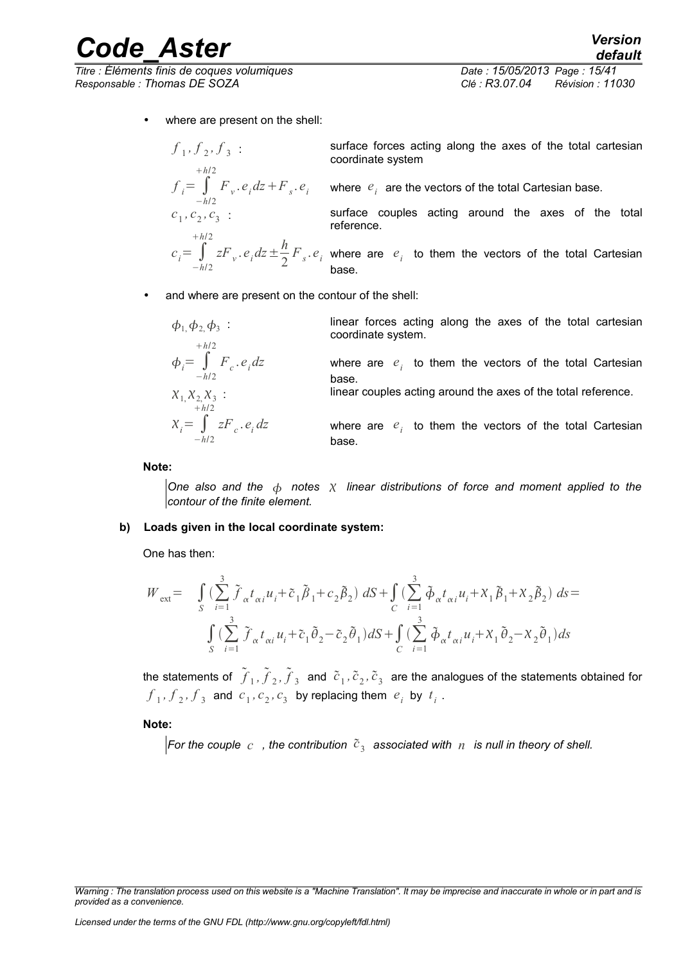*Titre : Éléments finis de coques volumiques Date : 15/05/2013 Page : 15/41 Responsable : Thomas DE SOZA Clé : R3.07.04 Révision : 11030*

 $f_1, f_2, f_3$ 

*h*/2

 $f_i = \int$ −*h*/2

 $c_1$ ,  $c_2$ ,  $c_3$ 

where are present on the shell:

 $1, 7, 2, 7, 3$ . coordinate system surface forces acting along the axes of the total cartesian  $F_{\left(v\right)}$ . $e_{i}$  $dz + F_{\left(s\right)}$ . $e_{i}$  where  $\left(e_{i}\right)$  are the vectors of the total Cartesian base.

> surface couples acting around the axes of the total reference.

 $c_i = \int$ −*h*/2 *h*/2  $zF_v \cdot e_i \, dz \pm \frac{h}{2}$  $\frac{n}{2}F_s \cdot e_i$  where are  $e_i$  to them the vectors of the total Cartesian base.

and where are present on the contour of the shell:

| $\phi_1$ , $\phi_2$ , $\phi_3$ :              | linear forces on the total Cartesian coordinate system.          |
|-----------------------------------------------|------------------------------------------------------------------|
| $\phi_i = \int_{-h/2}^{h/2} F_c \cdot e_i dz$ | where are $e_i$ to them the vectors of the total Cartesian base. |
| $X_1$ , $X_2$ , $X_3$ :                       | linear couples acting around the axes of the total reference.    |
| $X_i = \int_{-h/2}^{h/2} zF_c \cdot e_i dz$   | where are $e_i$ to them the vectors of the total Cartesian base. |

**Note:**

*One also and the notes linear distributions of force and moment applied to the contour of the finite element.*

#### **b) Loads given in the local coordinate system:**

One has then:

$$
W_{ext} = \int_{S} \left( \sum_{i=1}^{3} \tilde{f}_{\alpha} t_{\alpha i} u_{i} + \tilde{c}_{1} \tilde{\beta}_{1} + c_{2} \tilde{\beta}_{2} \right) dS + \int_{C} \left( \sum_{i=1}^{3} \tilde{\phi}_{\alpha} t_{\alpha i} u_{i} + X_{1} \tilde{\beta}_{1} + X_{2} \tilde{\beta}_{2} \right) ds =
$$
  

$$
\int_{S} \left( \sum_{i=1}^{3} \tilde{f}_{\alpha} t_{\alpha i} u_{i} + \tilde{c}_{1} \tilde{\theta}_{2} - \tilde{c}_{2} \tilde{\theta}_{1} \right) dS + \int_{C} \left( \sum_{i=1}^{3} \tilde{\phi}_{\alpha} t_{\alpha i} u_{i} + X_{1} \tilde{\theta}_{2} - X_{2} \tilde{\theta}_{1} \right) ds
$$

the statements of  $\tilde f_1, \tilde f_2, \tilde f_3$  and  $\tilde c_1, \tilde c_2, \tilde c_3$  are the analogues of the statements obtained for  $f_1$ ,  $f_2$ ,  $f_3$  and  $c_1$ ,  $c_2$ ,  $c_3$  by replacing them  $e_i$  by  $t_i$ .

**Note:**

For the couple  $\,c\,$  , the contribution  $\,{\tilde c}_3\,$  associated with  $\,n\,$  is null in theory of shell.

*Warning : The translation process used on this website is a "Machine Translation". It may be imprecise and inaccurate in whole or in part and is provided as a convenience.*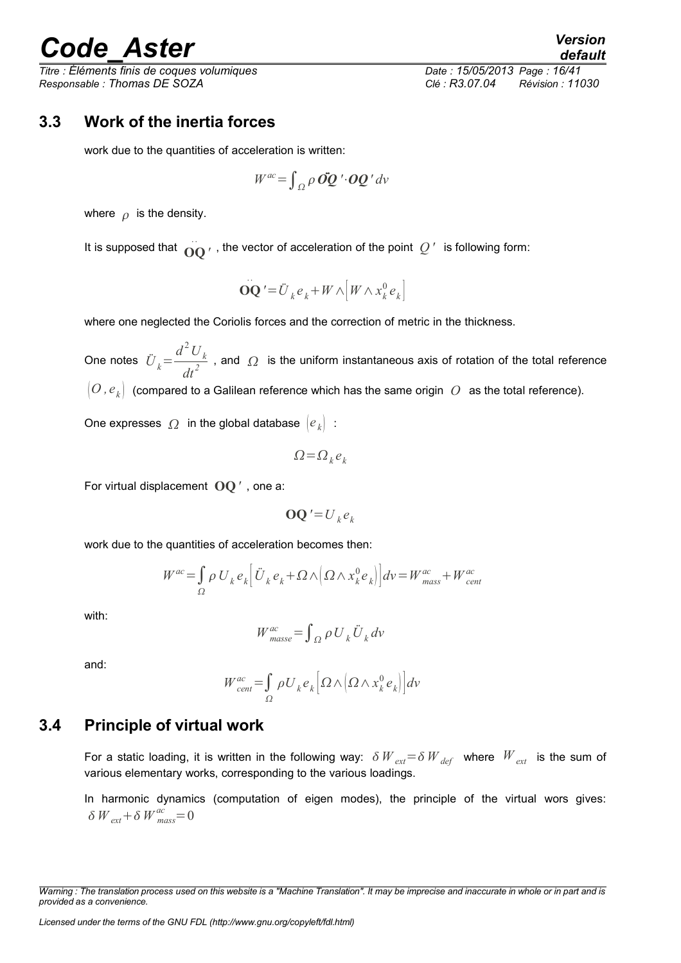*Titre : Éléments finis de coques volumiques Date : 15/05/2013 Page : 16/41 Responsable : Thomas DE SOZA Clé : R3.07.04 Révision : 11030*

### **3.3 Work of the inertia forces**

<span id="page-15-1"></span>work due to the quantities of acceleration is written:

$$
W^{ac} = \int_{\Omega} \rho \, \dot{OQ}^{\prime} \cdot \mathbf{OQ}^{\prime} \, dv
$$

where  $\rho$  is the density.

It is supposed that  $\overrightarrow{OQ}$  *'*, the vector of acceleration of the point  $Q$  ' is following form:

$$
\overline{\mathbf{OQ}}^{\prime} = \overline{\mathbf{U}}_k \mathbf{e}_k + W \wedge \left[ W \wedge x_k^0 \mathbf{e}_k \right]
$$

where one neglected the Coriolis forces and the correction of metric in the thickness.

One notes  $\ddot{U}_k =$  $d^2 U_k$  $\frac{1}{d}$ , and  $\Omega$  is the uniform instantaneous axis of rotation of the total reference  $\frac{1}{d}$  $[O, e_k]$  (compared to a Galilean reference which has the same origin  $|O|$  as the total reference).

One expresses  $\Omega$  in the global database  $\{e_k\}$  :

$$
\Omega = \Omega_k e_k
$$

For virtual displacement **OQ***'* , one a:

$$
\mathbf{OQ}^{\prime} = U_k e_k
$$

work due to the quantities of acceleration becomes then:

$$
W^{ac} = \int_{\Omega} \rho U_k e_k \left[ \ddot{U}_k e_k + \Omega \wedge (\Omega \wedge x_k^0 e_k) \right] dv = W_{mass}^{ac} + W_{cent}^{ac}
$$

with:

$$
W_{masse}^{ac} = \int_{\Omega} \rho U_k \ddot{U}_k dv
$$

and:

$$
W_{cent}^{ac} = \int_{\Omega} \rho U_{k} e_{k} \left[ \Omega \wedge (\Omega \wedge x_{k}^{0} e_{k}) \right] dv
$$

### **3.4 Principle of virtual work**

<span id="page-15-0"></span>For a static loading, it is written in the following way:  $\delta W_{ext} = \delta W_{det}$  where  $W_{ext}$  is the sum of various elementary works, corresponding to the various loadings.

In harmonic dynamics (computation of eigen modes), the principle of the virtual wors gives:  $\delta W_{ext} + \delta W_{mass}^{ac} = 0$ 

*default*

*Warning : The translation process used on this website is a "Machine Translation". It may be imprecise and inaccurate in whole or in part and is provided as a convenience.*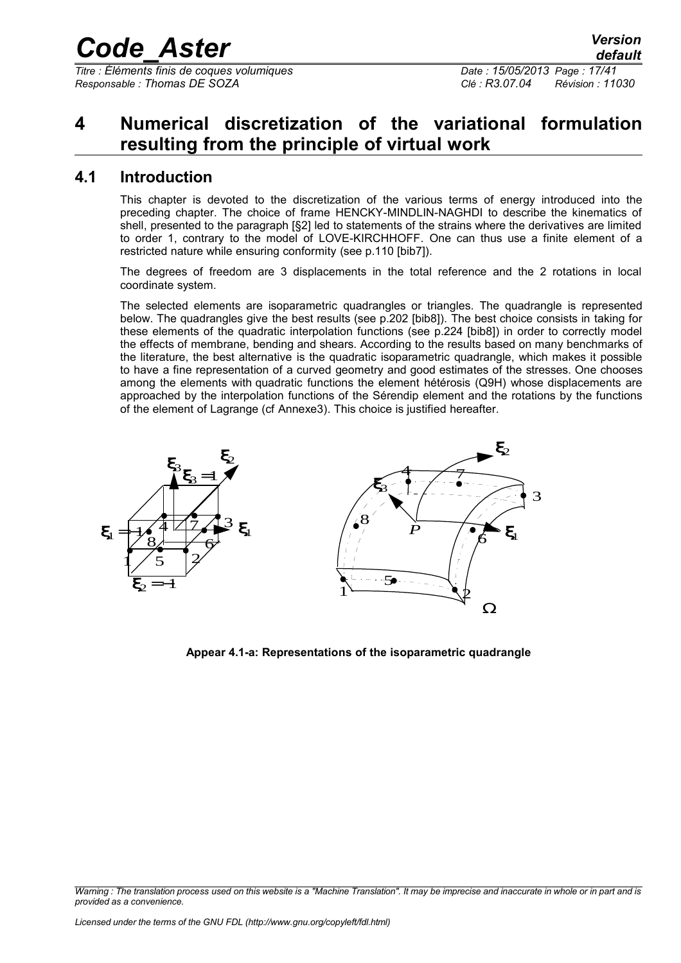*Titre : Éléments finis de coques volumiques Date : 15/05/2013 Page : 17/41 Responsable : Thomas DE SOZA Clé : R3.07.04 Révision : 11030*

## <span id="page-16-1"></span>**4 Numerical discretization of the variational formulation resulting from the principle of virtual work**

### **4.1 Introduction**

<span id="page-16-0"></span>This chapter is devoted to the discretization of the various terms of energy introduced into the preceding chapter. The choice of frame HENCKY-MINDLIN-NAGHDI to describe the kinematics of shell, presented to the paragraph [§2] led to statements of the strains where the derivatives are limited to order 1, contrary to the model of LOVE-KIRCHHOFF. One can thus use a finite element of a restricted nature while ensuring conformity (see p.110 [bib7]).

The degrees of freedom are 3 displacements in the total reference and the 2 rotations in local coordinate system.

The selected elements are isoparametric quadrangles or triangles. The quadrangle is represented below. The quadrangles give the best results (see p.202 [bib8]). The best choice consists in taking for these elements of the quadratic interpolation functions (see p.224 [bib8]) in order to correctly model the effects of membrane, bending and shears. According to the results based on many benchmarks of the literature, the best alternative is the quadratic isoparametric quadrangle, which makes it possible to have a fine representation of a curved geometry and good estimates of the stresses. One chooses among the elements with quadratic functions the element hétérosis (Q9H) whose displacements are approached by the interpolation functions of the Sérendip element and the rotations by the functions of the element of Lagrange (cf Annexe3). This choice is justified hereafter.



**Appear 4.1-a: Representations of the isoparametric quadrangle**

*Warning : The translation process used on this website is a "Machine Translation". It may be imprecise and inaccurate in whole or in part and is provided as a convenience.*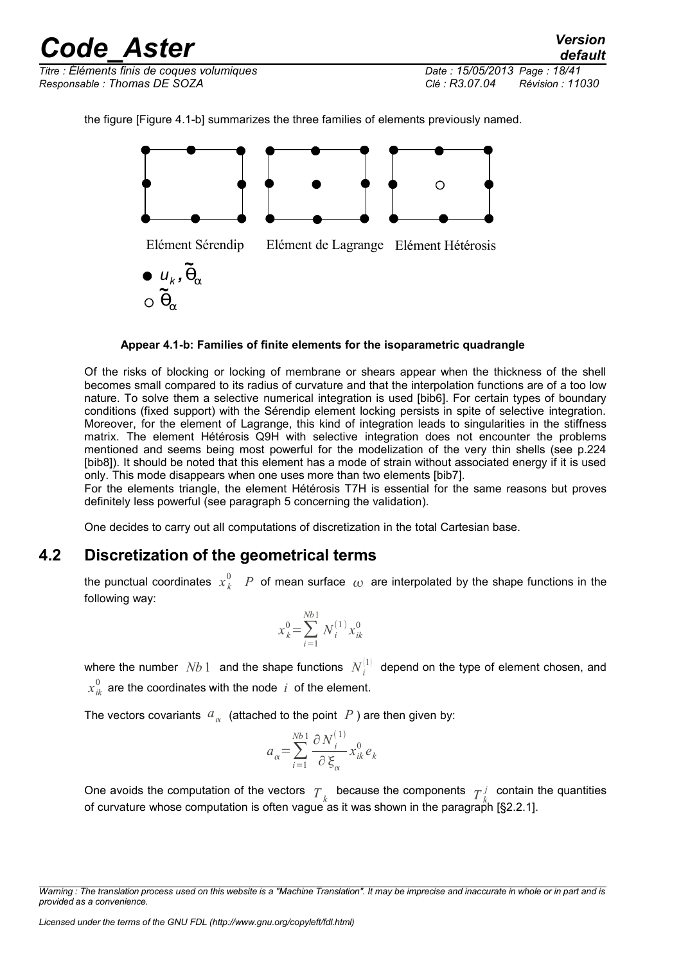*Titre : Éléments finis de coques volumiques Date : 15/05/2013 Page : 18/41 Responsable : Thomas DE SOZA Clé : R3.07.04 Révision : 11030*

*default*

the figure [Figure 4.1-b] summarizes the three families of elements previously named.



**Appear 4.1-b: Families of finite elements for the isoparametric quadrangle**

Of the risks of blocking or locking of membrane or shears appear when the thickness of the shell becomes small compared to its radius of curvature and that the interpolation functions are of a too low nature. To solve them a selective numerical integration is used [bib6]. For certain types of boundary conditions (fixed support) with the Sérendip element locking persists in spite of selective integration. Moreover, for the element of Lagrange, this kind of integration leads to singularities in the stiffness matrix. The element Hétérosis Q9H with selective integration does not encounter the problems mentioned and seems being most powerful for the modelization of the very thin shells (see p.224 [bib8]). It should be noted that this element has a mode of strain without associated energy if it is used only. This mode disappears when one uses more than two elements [bib7].

For the elements triangle, the element Hétérosis T7H is essential for the same reasons but proves definitely less powerful (see paragraph 5 concerning the validation).

<span id="page-17-0"></span>One decides to carry out all computations of discretization in the total Cartesian base.

### **4.2 Discretization of the geometrical terms**

the punctual coordinates  $x_k^0$   $\;$   $P\;$  of mean surface  $\;\omega\;$  are interpolated by the shape functions in the following way:

$$
x_k^0 = \sum_{i=1}^{Nb1} N_i^{(1)} x_{ik}^0
$$

where the number  $\; Nb\; 1\;$  and the shape functions  $\; N^{[1]}_{i}\;$  depend on the type of element chosen, and  $x_{ik}^0$  are the coordinates with the node  $\,$   $\,$  of the element.

The vectors covariants  $a_{\alpha}$  (attached to the point  $|P|$ ) are then given by:

$$
a_{\alpha} = \sum_{i=1}^{Nb} \frac{\partial N_i^{(1)}}{\partial \xi_{\alpha}} x_{ik}^0 e_k
$$

One avoids the computation of the vectors  $T_k$  because the components  $T_k^j$  contain the quantities of curvature whose computation is often vague as it was shown in the paragraph [§2.2.1].

*Warning : The translation process used on this website is a "Machine Translation". It may be imprecise and inaccurate in whole or in part and is provided as a convenience.*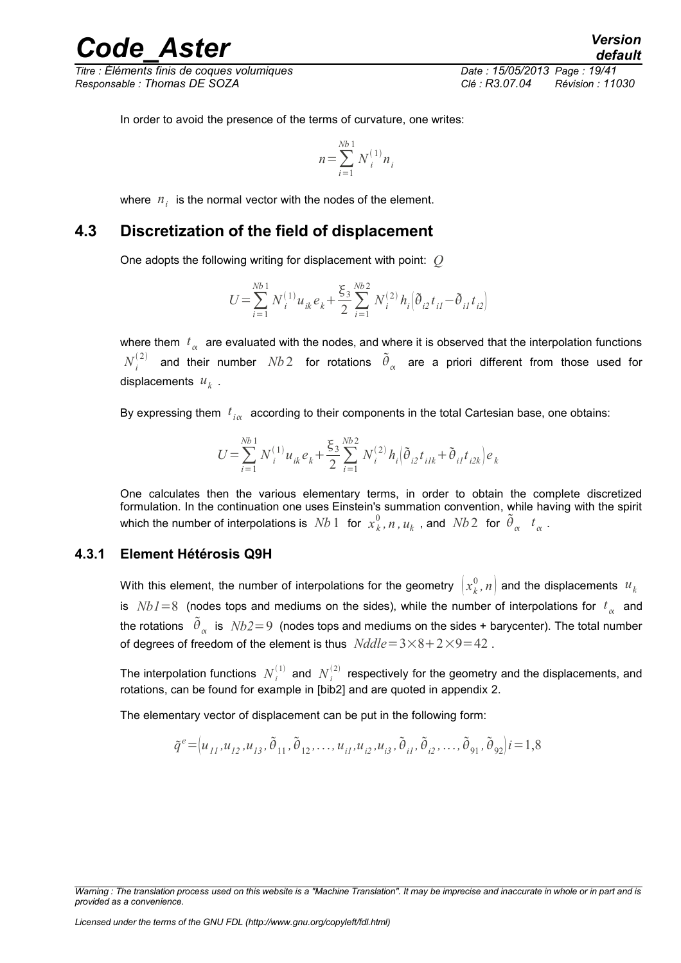*Titre : Éléments finis de coques volumiques Date : 15/05/2013 Page : 19/41 Responsable : Thomas DE SOZA Clé : R3.07.04 Révision : 11030*

In order to avoid the presence of the terms of curvature, one writes:

$$
n = \sum_{i=1}^{Nb} N_i^{(1)} n_i
$$

<span id="page-18-1"></span>where  $n_i$  is the normal vector with the nodes of the element.

### **4.3 Discretization of the field of displacement**

One adopts the following writing for displacement with point: *Q*

$$
U = \sum_{i=1}^{Nb1} N_i^{(1)} u_{ik} e_k + \frac{\xi_3}{2} \sum_{i=1}^{Nb2} N_i^{(2)} h_i \Big( \tilde{\theta}_{i2} t_{il} - \tilde{\theta}_{il} t_{i2} \Big)
$$

where them  $\,t_{_{\alpha}}\,$  are evaluated with the nodes, and where it is observed that the interpolation functions  $N^{(2)}_i$  and their number  $Nb$  2 for rotations  $\,\tilde{\theta}_{\alpha}\,$  are a priori different from those used for displacements  $u_k$  .

By expressing them  $|t_{i\alpha}|$  according to their components in the total Cartesian base, one obtains:

$$
U = \sum_{i=1}^{Nb} N_i^{(1)} u_{ik} e_k + \frac{\xi_3}{2} \sum_{i=1}^{Nb} N_i^{(2)} h_i \left( \tilde{\theta}_{i2} t_{ilk} + \tilde{\theta}_{il} t_{i2k} \right) e_k
$$

One calculates then the various elementary terms, in order to obtain the complete discretized formulation. In the continuation one uses Einstein's summation convention, while having with the spirit which the number of interpolations is  $~Nb~1~$  for  $~x_k^0$  ,  $n$  ,  $u_k$  , and  $~Nb~2~$  for  $~\tilde{\theta}_{\alpha}$   $~$   $~t_{\alpha}$  .

#### **4.3.1 Element Hétérosis Q9H**

<span id="page-18-0"></span>With this element, the number of interpolations for the geometry  $\left(x^0_k,n\right)$  and the displacements  $\,{u}_k\,$ is  $Nb1=8$  (nodes tops and mediums on the sides), while the number of interpolations for  $t_{\alpha}^{\dagger}$  and the rotations  $\left.\,\tilde{\theta}_{_{\alpha}}\right.$  is  $\left.\textit{Nb2}\!=\!9\right.$  (nodes tops and mediums on the sides + barycenter). The total number of degrees of freedom of the element is thus  $Nd = 3 \times 8 + 2 \times 9 = 42$ .

The interpolation functions  $\; N_i^{(1)} \;$  and  $\; N_i^{(2)} \;$  respectively for the geometry and the displacements, and rotations, can be found for example in [bib2] and are quoted in appendix 2.

The elementary vector of displacement can be put in the following form:

$$
\tilde{q}^e = (u_{11}, u_{12}, u_{13}, \tilde{\theta}_{11}, \tilde{\theta}_{12}, \dots, u_{i1}, u_{i2}, u_{i3}, \tilde{\theta}_{i1}, \tilde{\theta}_{i2}, \dots, \tilde{\theta}_{91}, \tilde{\theta}_{92}) i = 1,8
$$

*Warning : The translation process used on this website is a "Machine Translation". It may be imprecise and inaccurate in whole or in part and is provided as a convenience.*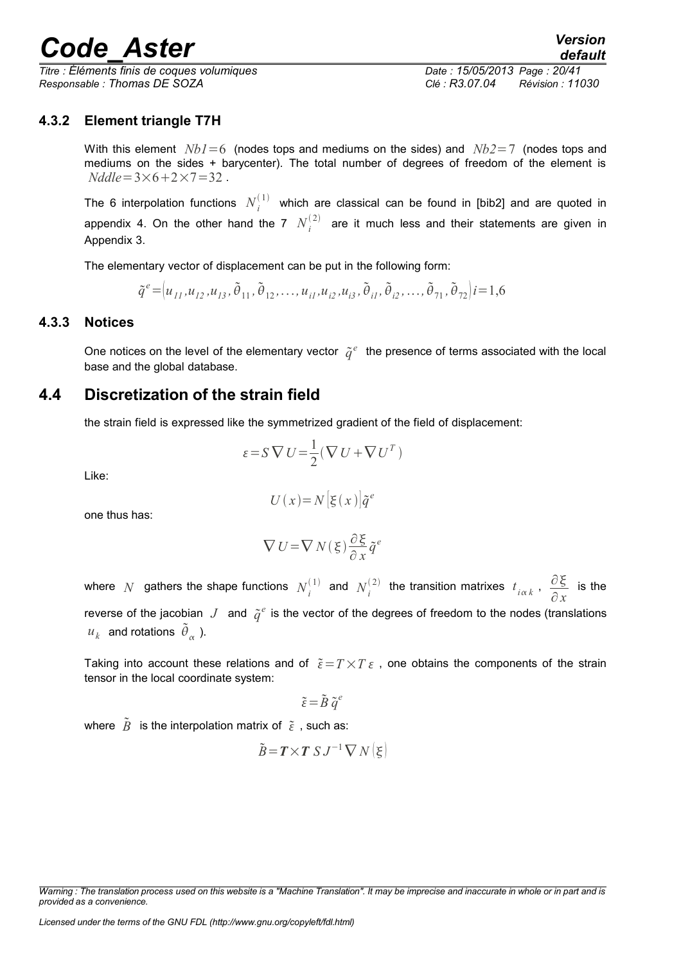*Titre : Éléments finis de coques volumiques Date : 15/05/2013 Page : 20/41 Responsable : Thomas DE SOZA Clé : R3.07.04 Révision : 11030*

#### **4.3.2 Element triangle T7H**

<span id="page-19-2"></span>With this element *Nb1*=6 (nodes tops and mediums on the sides) and *Nb2*=7 (nodes tops and mediums on the sides + barycenter). The total number of degrees of freedom of the element is  $N$ *ddle* =  $3 \times 6 + 2 \times 7 = 32$ .

The 6 interpolation functions  $N_i^{(1)}$  which are classical can be found in [bib2] and are quoted in appendix 4. On the other hand the 7  $N_i^{(2)}$  are it much less and their statements are given in Appendix 3.

The elementary vector of displacement can be put in the following form:

 $\tilde{q}^e = (u_{11}, u_{12}, u_{13}, \tilde{\theta}_{11}, \tilde{\theta}_{12}, \dots, u_{i1}, u_{i2}, u_{i3}, \tilde{\theta}_{i1}, \tilde{\theta}_{i2}, \dots, \tilde{\theta}_{71}, \tilde{\theta}_{72})$   $i = 1, 6$ 

#### **4.3.3 Notices**

<span id="page-19-1"></span>One notices on the level of the elementary vector  $\tilde{q}^e$  the presence of terms associated with the local base and the global database.

### **4.4 Discretization of the strain field**

<span id="page-19-0"></span>the strain field is expressed like the symmetrized gradient of the field of displacement:

$$
\varepsilon = S \nabla U = \frac{1}{2} (\nabla U + \nabla U^T)
$$

Like:

$$
U(x) = N\left[\xi(x)\right]\tilde{q}^e
$$

one thus has:

$$
\nabla U = \nabla N(\xi) \frac{\partial \xi}{\partial x} \tilde{q}^e
$$

where *N* gathers the shape functions  $N_i^{(1)}$  and  $N_i^{(2)}$  the transition matrixes  $t_{i\alpha k}$ ,  $\frac{\partial \xi}{\partial x}$ ∂ *x* is the reverse of the jacobian  $J$  and  $\tilde{q}^e$  is the vector of the degrees of freedom to the nodes (translations  $u_k$  and rotations  $\tilde{\theta}_{\alpha}$  ).

Taking into account these relations and of  $\tilde{\varepsilon} = T \times T \varepsilon$ , one obtains the components of the strain tensor in the local coordinate system:

$$
\tilde{\varepsilon} = \tilde{B} \; \tilde{q}^e
$$

where  $\tilde{B}$  is the interpolation matrix of  $\tilde{\varepsilon}$ , such as:

$$
\tilde{B} = T \times T \, S \, J^{-1} \, \nabla \, N \big( \xi \big)
$$

*Warning : The translation process used on this website is a "Machine Translation". It may be imprecise and inaccurate in whole or in part and is provided as a convenience.*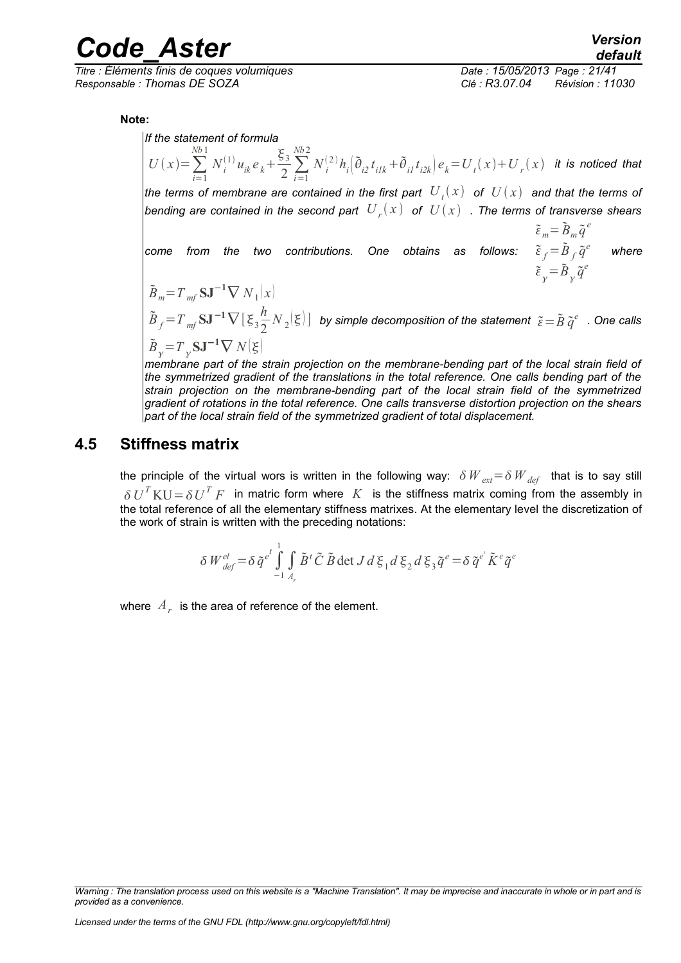*Titre : Éléments finis de coques volumiques Date : 15/05/2013 Page : 21/41 Responsable : Thomas DE SOZA Clé : R3.07.04 Révision : 11030*

*default*

**Note:** 

*If the statement of formula* 

 $U(x) = \sum_{i=1}^{n}$ *Nb* 1  $N_i^{(1)}$ *u***<sub>ik</sub>***e*<sub>*k***</sub><sup>** $+$ **</sup></sub>**  $\frac{\xi_3}{2} \sum_{i=1}^{Nb2}$ *Nb* 2  $N^{(2)}_{\ i}h_i\big(\widetilde{\theta}_{i2}t_{ilk}+\widetilde{\theta}_{i1}t_{i2k}\big)e_k\!=\!U_{\ i}(x)\!+\!U_{\ r}(x)\ \ \ \textit{it is noticed that}$ *the terms of membrane are contained in the first part*  $\;U_{\,t}(x)\;$  *of*  $\;U(x)\;$  *and that the terms of* bending are contained in the second part  $\left. U_{\,r}(\overline{x})\right.$  of  $\left. U(\overline{x})\right.$  . The terms of transverse shears *come from the two contributions. One obtains as follows:*   $\tilde{\varepsilon}_m = \tilde{B}_m \tilde{q}^e$  $\tilde{\varepsilon}_f = \tilde{B}_f \tilde{q}^e$  $\tilde{\varepsilon}_{\gamma} = \tilde{B}_{\gamma} \tilde{q}^e$  *where*  $\tilde{B}_m = T_m f S \mathbf{J}^{-1} \nabla N_1(x)$  $\tilde{B}_f = T_m f \mathbf{S} \mathbf{J}^{-1} \nabla \left[ \xi_3 \frac{h}{2} \right]$  $\frac{n}{2}N_{2}|\xi| \big]$  by simple decomposition of the statement  $\tilde{\varepsilon}\!=\!\tilde{B}\,\tilde{q}^{e} \,$  . One calls  $\tilde{B}_{\gamma} = T_{\gamma} S J^{-1} \nabla N(\xi)$ 

*membrane part of the strain projection on the membrane-bending part of the local strain field of the symmetrized gradient of the translations in the total reference. One calls bending part of the strain projection on the membrane-bending part of the local strain field of the symmetrized gradient of rotations in the total reference. One calls transverse distortion projection on the shears part of the local strain field of the symmetrized gradient of total displacement.*

### **4.5 Stiffness matrix**

<span id="page-20-0"></span>the principle of the virtual wors is written in the following way:  $\delta W_{ext} = \delta W_{det}$  that is to say still  $\delta U^T \text{K} U = \delta U^T F$  in matric form where  $K$  is the stiffness matrix coming from the assembly in the total reference of all the elementary stiffness matrixes. At the elementary level the discretization of the work of strain is written with the preceding notations:

$$
\delta W_{\text{def}}^{\text{el}} = \delta \tilde{q}^{\text{e}^t} \int_{-1}^{1} \int_{A_r} \tilde{B}^t \tilde{C} \, \tilde{B} \det J \, d\xi_1 d\xi_2 d\xi_3 \tilde{q}^{\text{e}} = \delta \tilde{q}^{\text{e}^t} \tilde{K}^{\text{e}} \tilde{q}^{\text{e}}
$$

where  $\left. A_{_{F}}\right.$  is the area of reference of the element.

*Warning : The translation process used on this website is a "Machine Translation". It may be imprecise and inaccurate in whole or in part and is provided as a convenience.*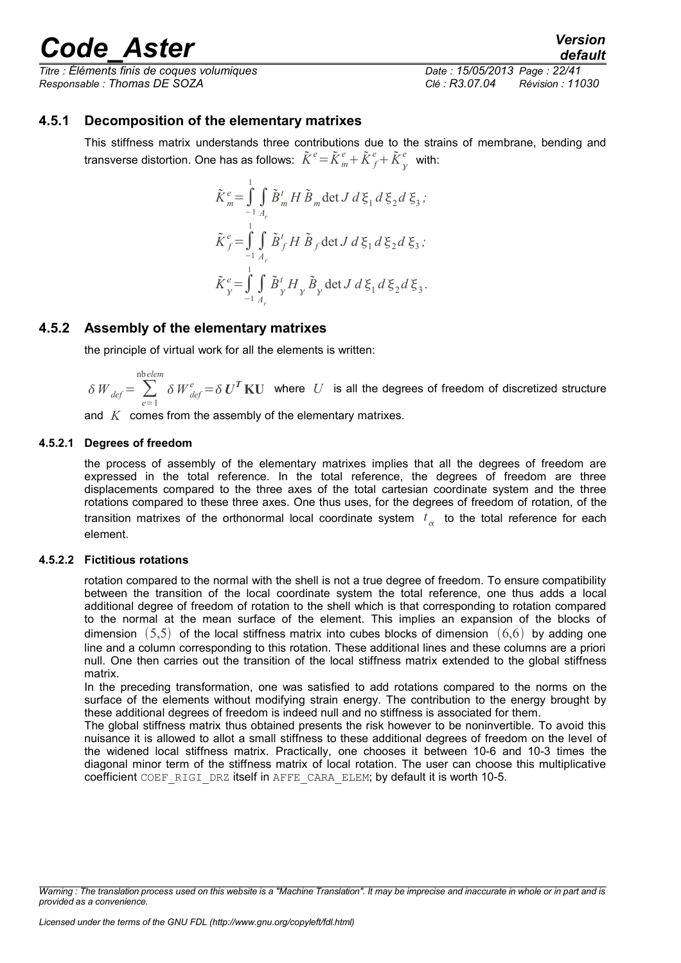*Titre : Éléments finis de coques volumiques Date : 15/05/2013 Page : 22/41 Responsable : Thomas DE SOZA Clé : R3.07.04 Révision : 11030*

#### **4.5.1 Decomposition of the elementary matrixes**

<span id="page-21-3"></span>This stiffness matrix understands three contributions due to the strains of membrane, bending and transverse distortion. One has as follows:  $\tilde{K}^e\!=\!\tilde{K}^e_{m}\!+\!\tilde{K}^e_{f}\!+\!\tilde{K}^e_{\gamma}$  $\int_a^e$  with:

$$
\tilde{K}_{m}^{e} = \int_{-1}^{1} \int_{A_{r}} \tilde{B}_{m}^{t} H \tilde{B}_{m} \det J d \xi_{1} d \xi_{2} d \xi_{3};
$$
\n
$$
\tilde{K}_{f}^{e} = \int_{-1}^{1} \int_{A_{r}} \tilde{B}_{f}^{t} H \tilde{B}_{f} \det J d \xi_{1} d \xi_{2} d \xi_{3};
$$
\n
$$
\tilde{K}_{y}^{e} = \int_{-1}^{1} \int_{A_{r}} \tilde{B}_{y}^{t} H_{y} \tilde{B}_{y} \det J d \xi_{1} d \xi_{2} d \xi_{3}.
$$

#### **4.5.2 Assembly of the elementary matrixes**

<span id="page-21-2"></span>the principle of virtual work for all the elements is written:

$$
\delta W_{def} = \sum_{e=1}^{\text{nbelem}} \delta W_{def}^e = \delta U^T \mathbf{K} U \quad \text{where} \quad U \quad \text{is all the degrees of freedom of discretized structure}
$$

and *K* comes from the assembly of the elementary matrixes.

#### **4.5.2.1 Degrees of freedom**

<span id="page-21-1"></span>the process of assembly of the elementary matrixes implies that all the degrees of freedom are expressed in the total reference. In the total reference, the degrees of freedom are three displacements compared to the three axes of the total cartesian coordinate system and the three rotations compared to these three axes. One thus uses, for the degrees of freedom of rotation, of the transition matrixes of the orthonormal local coordinate system  $\,t_{\alpha}\,$  to the total reference for each element.

#### **4.5.2.2 Fictitious rotations**

<span id="page-21-0"></span>rotation compared to the normal with the shell is not a true degree of freedom. To ensure compatibility between the transition of the local coordinate system the total reference, one thus adds a local additional degree of freedom of rotation to the shell which is that corresponding to rotation compared to the normal at the mean surface of the element. This implies an expansion of the blocks of dimension  $(5,5)$  of the local stiffness matrix into cubes blocks of dimension  $(6,6)$  by adding one line and a column corresponding to this rotation. These additional lines and these columns are a priori null. One then carries out the transition of the local stiffness matrix extended to the global stiffness matrix.

In the preceding transformation, one was satisfied to add rotations compared to the norms on the surface of the elements without modifying strain energy. The contribution to the energy brought by these additional degrees of freedom is indeed null and no stiffness is associated for them.

The global stiffness matrix thus obtained presents the risk however to be noninvertible. To avoid this nuisance it is allowed to allot a small stiffness to these additional degrees of freedom on the level of the widened local stiffness matrix. Practically, one chooses it between 10-6 and 10-3 times the diagonal minor term of the stiffness matrix of local rotation. The user can choose this multiplicative coefficient COEF\_RIGI\_DRZ itself in AFFE\_CARA\_ELEM; by default it is worth 10-5.

*Warning : The translation process used on this website is a "Machine Translation". It may be imprecise and inaccurate in whole or in part and is provided as a convenience.*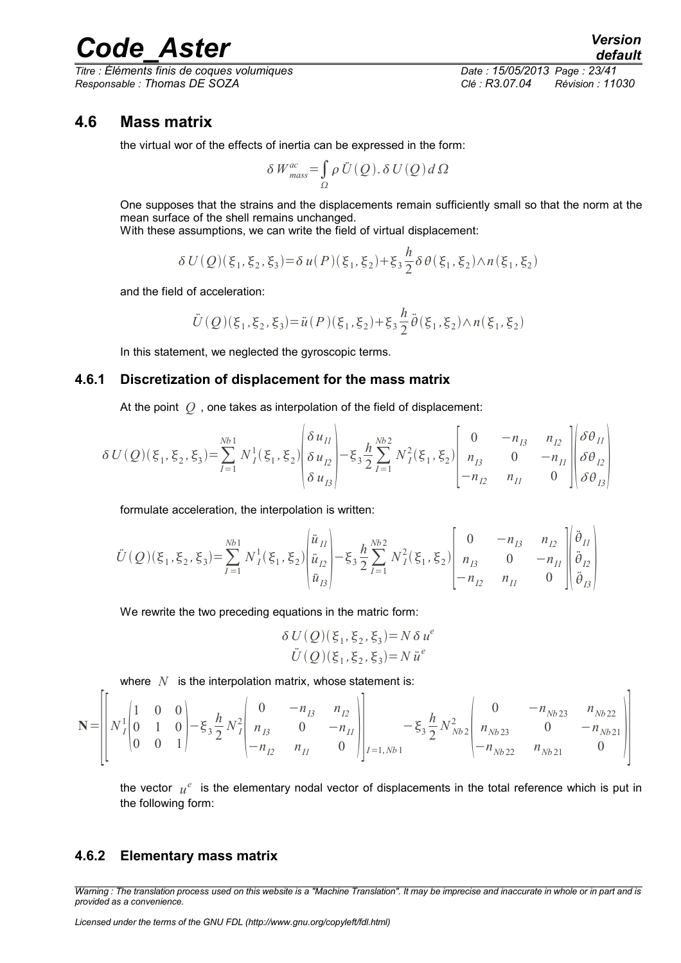*Titre : Éléments finis de coques volumiques Date : 15/05/2013 Page : 23/41 Responsable : Thomas DE SOZA Clé : R3.07.04 Révision : 11030*

h

### **4.6 Mass matrix**

<span id="page-22-2"></span>the virtual wor of the effects of inertia can be expressed in the form:

$$
\delta W_{\text{mass}}^{ac} = \int_{\Omega} \rho \, \ddot{U} \left( Q \right) . \, \delta \, U \left( Q \right) d \, \Omega
$$

One supposes that the strains and the displacements remain sufficiently small so that the norm at the mean surface of the shell remains unchanged.

With these assumptions, we can write the field of virtual displacement:

$$
\delta U(Q)(\xi_1, \xi_2, \xi_3) = \delta u(P)(\xi_1, \xi_2) + \xi_3 \frac{h}{2} \delta \theta(\xi_1, \xi_2) \wedge n(\xi_1, \xi_2)
$$

and the field of acceleration:

$$
\ddot{U}(\mathcal{Q})(\xi_1,\xi_2,\xi_3) = \ddot{u}(P)(\xi_1,\xi_2) + \xi_3 \frac{h}{2} \ddot{\theta}(\xi_1,\xi_2) \wedge n(\xi_1,\xi_2)
$$

<span id="page-22-1"></span>In this statement, we neglected the gyroscopic terms.

#### **4.6.1 Discretization of displacement for the mass matrix**

At the point *Q* , one takes as interpolation of the field of displacement:

$$
\delta U(Q)(\xi_1, \xi_2, \xi_3) = \sum_{I=1}^{Nb1} N_I^1(\xi_1, \xi_2) \begin{vmatrix} \delta u_{II} \\ \delta u_{I2} \\ \delta u_{I3} \end{vmatrix} - \xi_3 \frac{h}{2} \sum_{I=1}^{Nb2} N_I^2(\xi_1, \xi_2) \begin{bmatrix} 0 & -n_{I3} & n_{I2} \\ n_{I3} & 0 & -n_{I1} \\ -n_{I2} & n_{I1} & 0 \end{bmatrix} \begin{bmatrix} \delta \theta_{II} \\ \delta \theta_{I2} \\ \delta \theta_{I3} \end{bmatrix}
$$

formulate acceleration, the interpolation is written:

$$
\ddot{U}(\mathcal{Q})(\xi_1, \xi_2, \xi_3) = \sum_{I=1}^{Nb_1} N_I^1(\xi_1, \xi_2) \begin{vmatrix} \ddot{u}_{II} \\ \ddot{u}_{I2} \\ \ddot{u}_{I3} \end{vmatrix} - \xi_3 \frac{h}{2} \sum_{I=1}^{Nb_2} N_I^2(\xi_1, \xi_2) \begin{vmatrix} 0 & -n_{I3} & n_{I2} \\ n_{I3} & 0 & -n_{II} \\ -n_{I2} & n_{II} & 0 \end{vmatrix} \begin{vmatrix} \ddot{\theta}_{II} \\ \ddot{\theta}_{I2} \\ \ddot{\theta}_{I3} \end{vmatrix}
$$

We rewrite the two preceding equations in the matric form:

$$
\delta U(Q)(\xi_1, \xi_2, \xi_3) = N \delta u^e
$$
  

$$
\ddot{U}(Q)(\xi_1, \xi_2, \xi_3) = N \ddot{u}^e
$$

where  $N$  is the interpolation matrix, whose statement is:

$$
\mathbf{N} = \begin{bmatrix} 1 & 0 & 0 \\ N_{I}^{1} & 0 & 1 & 0 \\ 0 & 0 & 1 & 0 \\ 0 & 0 & 0 & 1 \end{bmatrix} - \xi_{3} \frac{h}{2} N_{I}^{2} \begin{bmatrix} 0 & -n_{I3} & n_{I2} \\ n_{I3} & 0 & -n_{II} \\ -n_{I2} & n_{II} & 0 \end{bmatrix} \begin{bmatrix} 0 & -n_{Nb22} & n_{Nb22} \\ -\xi_{3} \frac{h}{2} N_{Nb2}^{2} & n_{Nb22} & 0 \\ -n_{Nb22} & n_{Nb21} & 0 \end{bmatrix}
$$

the vector  $|u^e|$  is the elementary nodal vector of displacements in the total reference which is put in the following form:

#### <span id="page-22-0"></span>**4.6.2 Elementary mass matrix**

 $\overline{r}$  .

*Warning : The translation process used on this website is a "Machine Translation". It may be imprecise and inaccurate in whole or in part and is provided as a convenience.*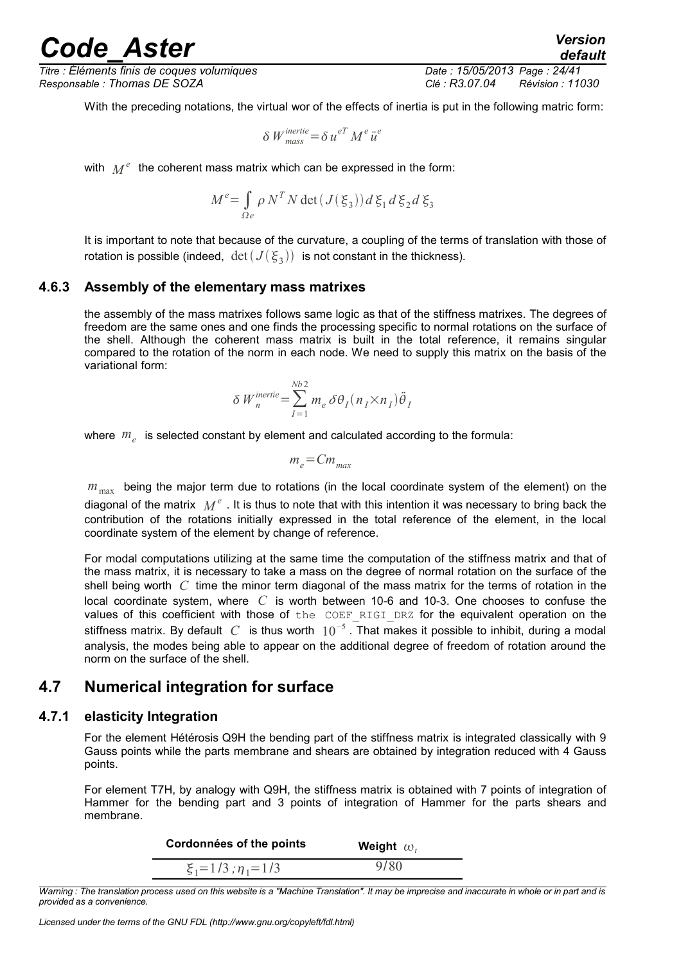*Titre : Éléments finis de coques volumiques Date : 15/05/2013 Page : 24/41 Responsable : Thomas DE SOZA Clé : R3.07.04 Révision : 11030*

*default*

With the preceding notations, the virtual wor of the effects of inertia is put in the following matric form:

$$
\delta W_{mass}^{inertie} = \delta u^{eT} M^e \ddot{u}^e
$$

with  $\ M^e$  the coherent mass matrix which can be expressed in the form:

$$
M^e = \int_{\Omega e} \rho N^T N \det\left(J(\xi_3)\right) d\xi_1 d\xi_2 d\xi_3
$$

It is important to note that because of the curvature, a coupling of the terms of translation with those of rotation is possible (indeed,  $\,\det\left(J(\,\xi_{\,3})\right)\,$  is not constant in the thickness).

#### **4.6.3 Assembly of the elementary mass matrixes**

<span id="page-23-2"></span>the assembly of the mass matrixes follows same logic as that of the stiffness matrixes. The degrees of freedom are the same ones and one finds the processing specific to normal rotations on the surface of the shell. Although the coherent mass matrix is built in the total reference, it remains singular compared to the rotation of the norm in each node. We need to supply this matrix on the basis of the variational form:

$$
\delta W_n^{\text{inertie}} = \sum_{I=1}^{Nb2} m_e \, \delta \theta_I (n_I \times n_I) \ddot{\theta}_I
$$

where *m<sup>e</sup>* is selected constant by element and calculated according to the formula:

$$
m_e = C m_{max}
$$

 $m_{\text{max}}$  being the major term due to rotations (in the local coordinate system of the element) on the diagonal of the matrix  $\;M^{e}$  . It is thus to note that with this intention it was necessary to bring back the contribution of the rotations initially expressed in the total reference of the element, in the local coordinate system of the element by change of reference.

For modal computations utilizing at the same time the computation of the stiffness matrix and that of the mass matrix, it is necessary to take a mass on the degree of normal rotation on the surface of the shell being worth *C* time the minor term diagonal of the mass matrix for the terms of rotation in the local coordinate system, where *C* is worth between 10-6 and 10-3. One chooses to confuse the values of this coefficient with those of the COEF RIGI DRZ for the equivalent operation on the stiffness matrix. By default  $\,C\,$  is thus worth  $\,10^{-5}$  . That makes it possible to inhibit, during a modal analysis, the modes being able to appear on the additional degree of freedom of rotation around the norm on the surface of the shell.

### <span id="page-23-1"></span>**4.7 Numerical integration for surface**

#### **4.7.1 elasticity Integration**

<span id="page-23-0"></span>For the element Hétérosis Q9H the bending part of the stiffness matrix is integrated classically with 9 Gauss points while the parts membrane and shears are obtained by integration reduced with 4 Gauss points.

For element T7H, by analogy with Q9H, the stiffness matrix is obtained with 7 points of integration of Hammer for the bending part and 3 points of integration of Hammer for the parts shears and membrane.

| Cordonnées of the points       | Weight $\omega_t$ |
|--------------------------------|-------------------|
| $\xi_1 = 1/3$ ; $\eta_1 = 1/3$ | 9/80              |
|                                |                   |

*Warning : The translation process used on this website is a "Machine Translation". It may be imprecise and inaccurate in whole or in part and is provided as a convenience.*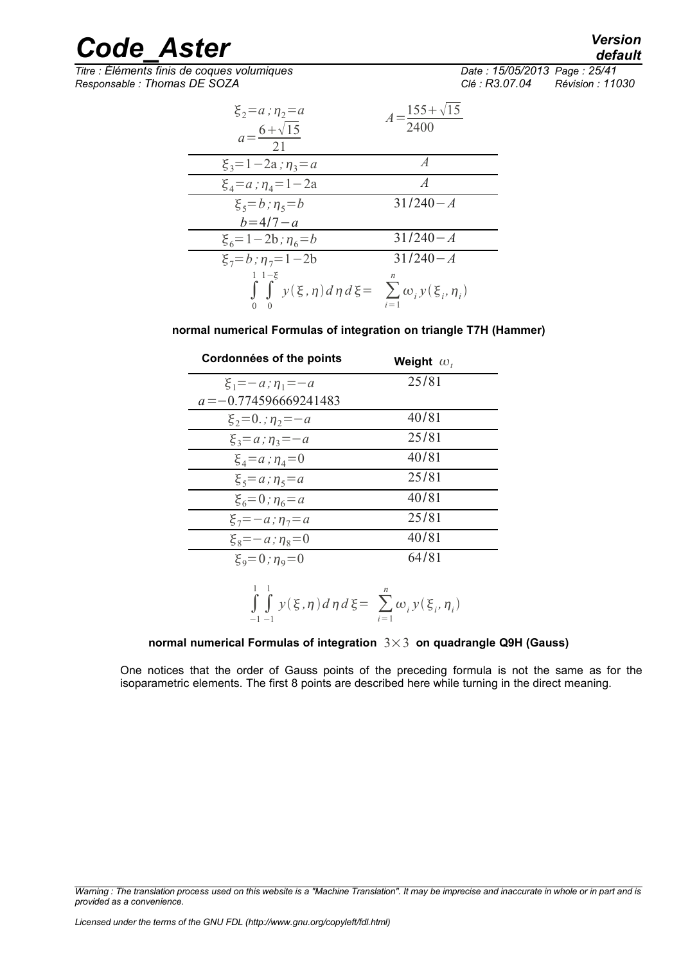## *default*

# *Code\_Aster Version*

 $\overline{T}$ *Titre : Éléments finis de coques volumiques Responsable : Thomas DE SOZA Clé : R3.07.04 Révision : 11030*

| $\xi_2 = a$ ; $\eta_2 = a$<br>$a = \frac{6 + \sqrt{15}}{21}$                           | $A=\frac{155+\sqrt{15}}{2400}$ |
|----------------------------------------------------------------------------------------|--------------------------------|
| $\xi_3 = 1 - 2a$ ; $\eta_3 = a$                                                        | $\overline{A}$                 |
| $\xi_4 = a$ ; $\eta_4 = 1 - 2a$                                                        | $\overline{A}$                 |
| $\xi_5 = b; \eta_5 = b$                                                                | $31/240 - A$                   |
| $b = 4/7 - a$                                                                          |                                |
| $\xi_6 = 1 - 2b$ ; $\eta_6 = b$                                                        | $31/240 - A$                   |
| $\xi_7 = b$ ; $\eta_7 = 1 - 2b$                                                        | $31/240 - A$                   |
| $1 \; 1 - \xi$<br>$\int \int y(\xi, \eta) d\eta d\xi = \sum \omega_i y(\xi_i, \eta_i)$ | $i=1$                          |

**normal numerical Formulas of integration on triangle T7H (Hammer)**

| Cordonnées of the points     | Weight $\omega_t$ |
|------------------------------|-------------------|
| $\xi_1 = -a$ ; $\eta_1 = -a$ | 25/81             |
| $a = -0.774596669241483$     |                   |
| $\xi_2 = 0$ ; $\eta_2 = -a$  | 40/81             |
| $\xi_3 = a$ ; $\eta_3 = -a$  | 25/81             |
| $\xi_4 = a$ ; $\eta_4 = 0$   | 40/81             |
| $\xi_5 = a$ ; $\eta_5 = a$   | 25/81             |
| $\xi_6 = 0$ ; $\eta_6 = a$   | 40/81             |
| $\xi_7 = -a$ ; $\eta_7 = a$  | 25/81             |
| $\xi_8 = -a$ ; $\eta_8 = 0$  | 40/81             |
| $\xi_9 = 0$ ; $\eta_9 = 0$   | 64/81             |
| 1<br>-1                      | $\boldsymbol{n}$  |

$$
\int_{-1} \int_{-1} y(\xi, \eta) d\eta d\xi = \sum_{i=1}^{n} \omega_i y(\xi_i, \eta_i)
$$

#### **normal numerical Formulas of integration** 3×3 **on quadrangle Q9H (Gauss)**

One notices that the order of Gauss points of the preceding formula is not the same as for the isoparametric elements. The first 8 points are described here while turning in the direct meaning.

*Warning : The translation process used on this website is a "Machine Translation". It may be imprecise and inaccurate in whole or in part and is provided as a convenience.*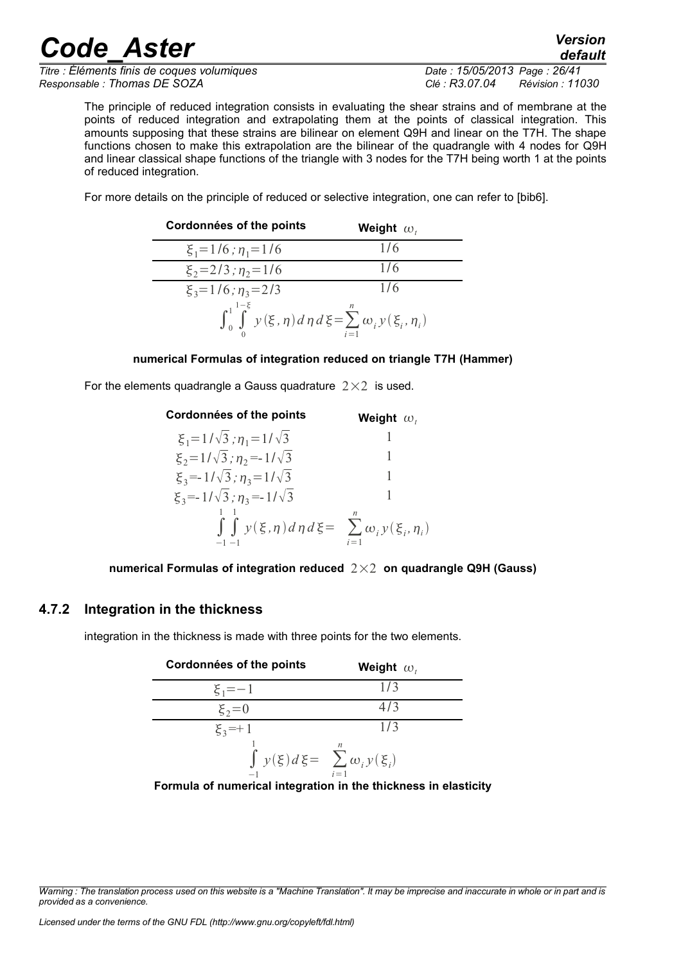*Titre : Éléments finis de coques volumiques Date : 15/05/2013 Page : 26/41 Responsable : Thomas DE SOZA Clé : R3.07.04 Révision : 11030*

The principle of reduced integration consists in evaluating the shear strains and of membrane at the points of reduced integration and extrapolating them at the points of classical integration. This amounts supposing that these strains are bilinear on element Q9H and linear on the T7H. The shape functions chosen to make this extrapolation are the bilinear of the quadrangle with 4 nodes for Q9H and linear classical shape functions of the triangle with 3 nodes for the T7H being worth 1 at the points of reduced integration.

For more details on the principle of reduced or selective integration, one can refer to [bib6].

| Cordonnées of the points                                                                   | Weight $\omega$ , |
|--------------------------------------------------------------------------------------------|-------------------|
| $\xi_1 = 1/6$ ; $\eta_1 = 1/6$                                                             | 1/6               |
| $\xi_2 = 2/3$ ; $\eta_2 = 1/6$                                                             | 1/6               |
| $\xi_3 = 1/6$ ; $\eta_3 = 2/3$                                                             | 1/6               |
| $\int_0^1 \int_0^{1-\xi} y(\xi, \eta) d\eta d\xi = \sum_{i=1}^n \omega_i y(\xi_i, \eta_i)$ |                   |

#### **numerical Formulas of integration reduced on triangle T7H (Hammer)**

For the elements quadrangle a Gauss quadrature  $2\times 2$  is used.

| Cordonnées of the points                                                        | Weight $\omega_t$ |
|---------------------------------------------------------------------------------|-------------------|
| $\xi_1 = 1/\sqrt{3}$ ; $\eta_1 = 1/\sqrt{3}$                                    |                   |
| $\xi_2 = 1/\sqrt{3}$ ; $\eta_2 = -1/\sqrt{3}$                                   |                   |
| $\xi_3 = 1/\sqrt{3}$ ; $\eta_3 = 1/\sqrt{3}$                                    |                   |
| $\xi_3 = -1/\sqrt{3}$ ; $\eta_3 = -1/\sqrt{3}$                                  |                   |
| $\int \int y(\xi, \eta) d\eta d\xi = \sum \omega_i y(\xi_i, \eta_i)$<br>$-1 -1$ |                   |

**numerical Formulas of integration reduced** 2×2 **on quadrangle Q9H (Gauss)**

### **4.7.2 Integration in the thickness**

<span id="page-25-0"></span>integration in the thickness is made with three points for the two elements.

| Cordonnées of the points                    | Weight $\omega_i$ |
|---------------------------------------------|-------------------|
| $\xi_1 = -1$                                | 1/3               |
| $\xi_2=0$                                   | 4/3               |
| $\xi_3 = +1$                                | 1/3               |
| $\int y(\xi) d\xi = \sum \omega_i y(\xi_i)$ | $i=1$<br>.        |

**Formula of numerical integration in the thickness in elasticity**

*Warning : The translation process used on this website is a "Machine Translation". It may be imprecise and inaccurate in whole or in part and is provided as a convenience.*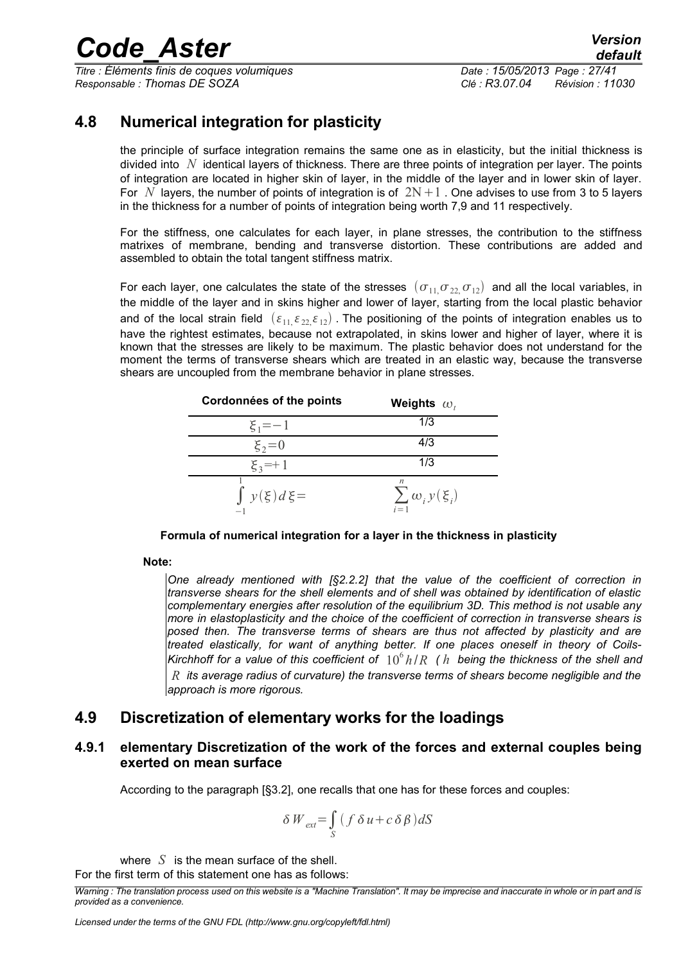*Titre : Éléments finis de coques volumiques Date : 15/05/2013 Page : 27/41 Responsable : Thomas DE SOZA Clé : R3.07.04 Révision : 11030*

### **4.8 Numerical integration for plasticity**

<span id="page-26-2"></span>the principle of surface integration remains the same one as in elasticity, but the initial thickness is divided into *N* identical layers of thickness. There are three points of integration per layer. The points of integration are located in higher skin of layer, in the middle of the layer and in lower skin of layer. For N layers, the number of points of integration is of  $2N+1$ . One advises to use from 3 to 5 layers in the thickness for a number of points of integration being worth 7,9 and 11 respectively.

For the stiffness, one calculates for each layer, in plane stresses, the contribution to the stiffness matrixes of membrane, bending and transverse distortion. These contributions are added and assembled to obtain the total tangent stiffness matrix.

For each layer, one calculates the state of the stresses  $(\sigma_{11},\sigma_{22},\sigma_{12})$  and all the local variables, in the middle of the layer and in skins higher and lower of layer, starting from the local plastic behavior and of the local strain field  $(\varepsilon_{11}, \varepsilon_{22}, \varepsilon_{12})$ . The positioning of the points of integration enables us to have the rightest estimates, because not extrapolated, in skins lower and higher of layer, where it is known that the stresses are likely to be maximum. The plastic behavior does not understand for the moment the terms of transverse shears which are treated in an elastic way, because the transverse shears are uncoupled from the membrane behavior in plane stresses.

| Cordonnées of the points | Weights $\omega_{t}$                   |
|--------------------------|----------------------------------------|
| $\xi_1 = -1$             | 1/3                                    |
| $\xi_2 = 0$              | 4/3                                    |
| $\xi_3 = +1$             | 1/3                                    |
| $\int y(\xi) d\xi$       | n<br>$\sum \omega_i y(\xi_i)$<br>$i=1$ |

**Formula of numerical integration for a layer in the thickness in plasticity**

#### **Note:**

*One already mentioned with [§2.2.2] that the value of the coefficient of correction in transverse shears for the shell elements and of shell was obtained by identification of elastic complementary energies after resolution of the equilibrium 3D. This method is not usable any more in elastoplasticity and the choice of the coefficient of correction in transverse shears is posed then. The transverse terms of shears are thus not affected by plasticity and are treated elastically, for want of anything better. If one places oneself in theory of Coils-*Kirchhoff for a value of this coefficient of  $\ 10^6\,h/R$  (  $h$  being the thickness of the shell and *R its average radius of curvature) the transverse terms of shears become negligible and the approach is more rigorous.*

### <span id="page-26-1"></span>**4.9 Discretization of elementary works for the loadings**

#### **4.9.1 elementary Discretization of the work of the forces and external couples being exerted on mean surface**

<span id="page-26-0"></span>According to the paragraph [§3.2], one recalls that one has for these forces and couples:

$$
\delta W_{ext} = \int_{S} (f \, \delta u + c \, \delta \, \beta) dS
$$

where *S* is the mean surface of the shell.

For the first term of this statement one has as follows:

*Warning : The translation process used on this website is a "Machine Translation". It may be imprecise and inaccurate in whole or in part and is provided as a convenience.*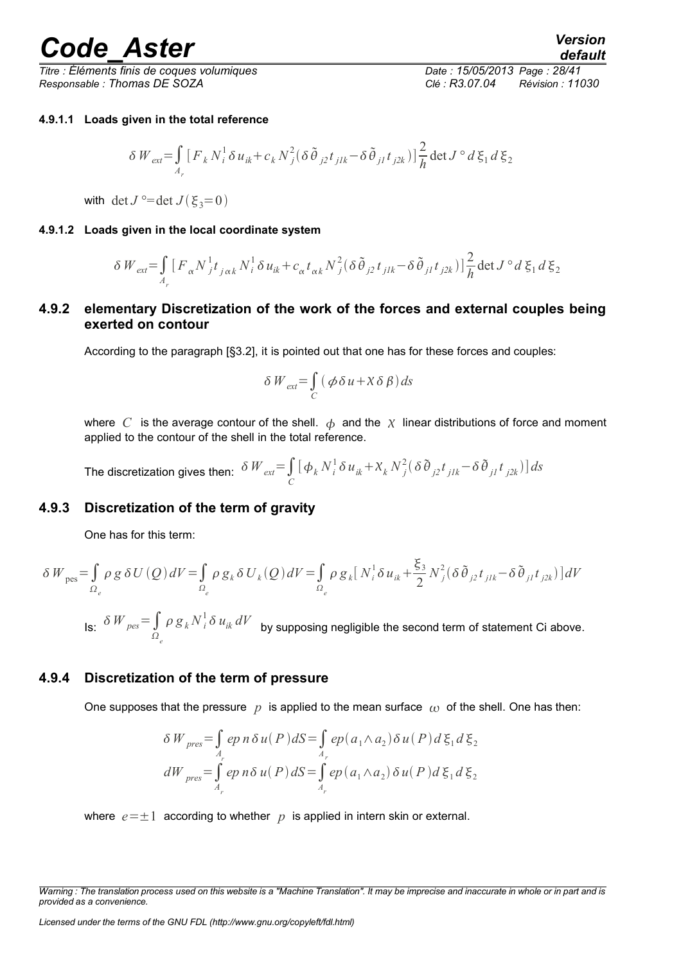*Titre : Éléments finis de coques volumiques Date : 15/05/2013 Page : 28/41 Responsable : Thomas DE SOZA Clé : R3.07.04 Révision : 11030*

#### <span id="page-27-4"></span>**4.9.1.1 Loads given in the total reference**

$$
\delta W_{ext} = \int_{A_r} \left[ F_k N_i^1 \delta u_{ik} + c_k N_j^2 (\delta \tilde{\theta}_{j2} t_{jlk} - \delta \tilde{\theta}_{j1} t_{j2k}) \right] \frac{2}{h} \det J^\circ d\xi_1 d\xi_2
$$

<span id="page-27-3"></span>with det  $J^{\circ}$ =det  $J(\xi_3=0)$ 

#### **4.9.1.2 Loads given in the local coordinate system**

$$
\delta W_{ext} = \int_{A_r} \left[ F_{\alpha} N_j^1 t_{j \alpha k} N_i^1 \delta u_{ik} + c_{\alpha} t_{\alpha k} N_j^2 (\delta \tilde{\theta}_{j2} t_{jlk} - \delta \tilde{\theta}_{j1} t_{j2k}) \right] \frac{2}{h} \det J^{\circ} d \xi_1 d \xi_2
$$

#### **4.9.2 elementary Discretization of the work of the forces and external couples being exerted on contour**

<span id="page-27-2"></span>According to the paragraph [§3.2], it is pointed out that one has for these forces and couples:

$$
\delta W_{ext} = \int_C (\phi \delta u + X \delta \beta) ds
$$

where  $C$  is the average contour of the shell.  $\phi$  and the  $\chi$  linear distributions of force and moment applied to the contour of the shell in the total reference.

The discretization gives then:  $\delta\, {\not\! W}_{ext} {=} \int\limits_{C}$  $[\phi_k N_i^1 \delta u_{ik} + X_k N_j^2 (\delta \tilde{\theta}_{j2} t_{j1k} - \delta \tilde{\theta}_{j1} t_{j2k})] ds$ 

#### **4.9.3 Discretization of the term of gravity**

<span id="page-27-1"></span>One has for this term:

$$
\delta W_{\text{pes}} = \int_{\Omega_e} \rho g \, \delta U(Q) \, dV = \int_{\Omega_e} \rho g_k \, \delta U_k(Q) \, dV = \int_{\Omega_e} \rho g_k \left[ \left. N_i^1 \delta u_{ik} + \frac{\xi_3}{2} N_j^2 (\delta \tilde{\theta}_{j2} t_{j1k} - \delta \tilde{\theta}_{j1} t_{j2k}) \right] dV
$$

Is: *<sup>W</sup> pes*<sup>=</sup>∫ *e*  $\rho\ g_{k}^{\phantom{i}}N_{\phantom{i}i}^{\phantom{i}l}\delta\ u_{ik}^{\phantom{i}}dV_{\phantom{i}}^{\phantom{i}}$  by supposing negligible the second term of statement Ci above.

#### **4.9.4 Discretization of the term of pressure**

<span id="page-27-0"></span>One supposes that the pressure  $p$  is applied to the mean surface  $q_0$  of the shell. One has then:

$$
\delta W_{pres} = \int_{A_r} e p \, n \, \delta u(P) \, dS = \int_{A_r} e p(a_1 \wedge a_2) \, \delta u(P) \, d\xi_1 \, d\xi_2
$$
\n
$$
dW_{pres} = \int_{A_r} e p \, n \, \delta u(P) \, dS = \int_{A_r} e p(a_1 \wedge a_2) \, \delta u(P) \, d\xi_1 \, d\xi_2
$$

where  $e=\pm 1$  according to whether  $p$  is applied in intern skin or external.

*Warning : The translation process used on this website is a "Machine Translation". It may be imprecise and inaccurate in whole or in part and is provided as a convenience.*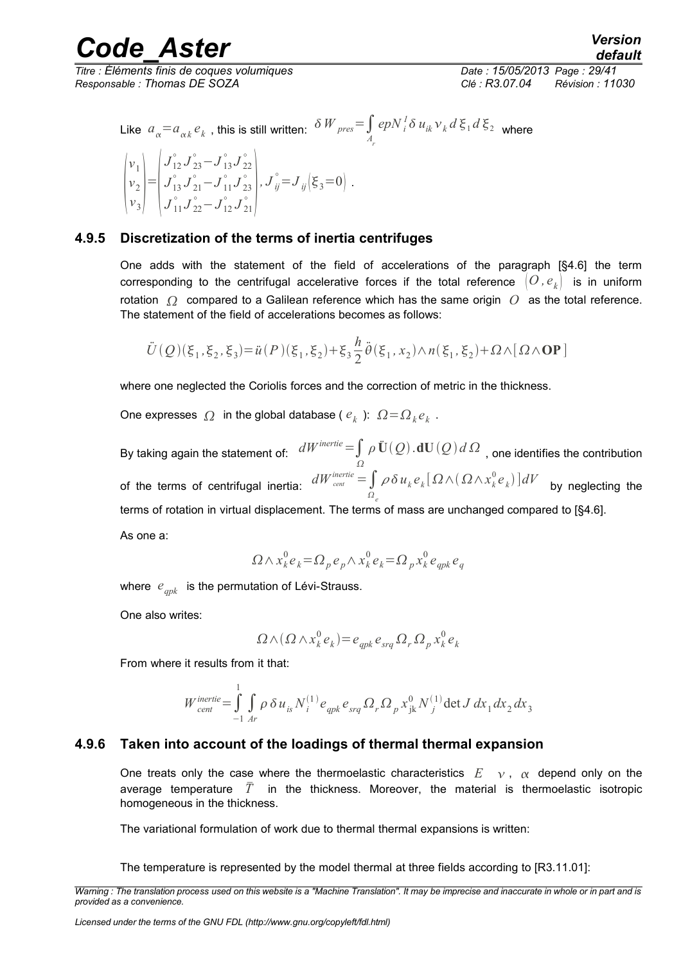*Responsable : Thomas DE SOZA Clé : R3.07.04 Révision : 11030*

*Titre : Éléments finis de coques volumiques Date : 15/05/2013 Page : 29/41*

Like 
$$
a_{\alpha} = a_{\alpha k} e_k
$$
, this is still written:  $\delta W_{pres} = \int_{A_r} e p N_i^T \delta u_{ik} v_k d \xi_1 d \xi_2$  where

$$
\begin{pmatrix} v_1 \\ v_2 \\ v_3 \end{pmatrix} = \begin{pmatrix} J_{12}^{\circ} J_{23}^{\circ} - J_{13}^{\circ} J_{22}^{\circ} \\ J_{13}^{\circ} J_{21}^{\circ} - J_{11}^{\circ} J_{23}^{\circ} \\ J_{11}^{\circ} J_{22}^{\circ} - J_{12}^{\circ} J_{21}^{\circ} \end{pmatrix}, J_{ij}^{\circ} = J_{ij} (\xi_3 = 0) .
$$

#### **4.9.5 Discretization of the terms of inertia centrifuges**

<span id="page-28-1"></span>One adds with the statement of the field of accelerations of the paragraph [§4.6] the term corresponding to the centrifugal accelerative forces if the total reference  $(O, e_k)$  is in uniform rotation  $\Omega$  compared to a Galilean reference which has the same origin  $O$  as the total reference. The statement of the field of accelerations becomes as follows:

$$
\ddot{U}(Q)(\xi_1,\xi_2,\xi_3) = \ddot{u}(P)(\xi_1,\xi_2) + \xi_3 \frac{h}{2} \ddot{\theta}(\xi_1,x_2) \wedge n(\xi_1,\xi_2) + \Omega \wedge [\Omega \wedge \mathbf{OP}]
$$

where one neglected the Coriolis forces and the correction of metric in the thickness.

One expresses  $\Omega$  in the global database ( $e_k$ ):  $\Omega \!=\! \Omega_k e_k$ .

By taking again the statement of:  $\ dW^{inertie} \!=\!\!\int \rho \, \ddot{{\bf U}}(\mathcal{Q})\,d{\bf U}(\mathcal{Q})\,d\,\Omega\,$  , one identifies the contribution Ω of the terms of centrifugal inertia:  $dW^{inertie}_{\textit{cent}} = \int dA$ *e*  $\rho \delta u_k e_k [\Omega \wedge (\Omega \wedge x^0_k e_k)] dV$  by neglecting the terms of rotation in virtual displacement. The terms of mass are unchanged compared to [§4.6]. As one a:

$$
\Omega \wedge x_k^0 e_k = \Omega_p e_p \wedge x_k^0 e_k = \Omega_p x_k^0 e_{qpk} e_q
$$

where  $e_{qpk}$  is the permutation of Lévi-Strauss.

One also writes:

$$
\Omega \wedge (\Omega \wedge x_k^0 e_k) = e_{qpk} e_{srq} \Omega_r \Omega_p x_k^0 e_k
$$

From where it results from it that:

$$
W_{cent}^{inertie} = \int_{-1}^{1} \int_{Ar} \rho \, \delta u_{is} N_i^{(1)} e_{qpk} e_{srq} \Omega_r \Omega_p x_{jk}^0 N_j^{(1)} \det J \, dx_1 dx_2 dx_3
$$

#### **4.9.6 Taken into account of the loadings of thermal thermal expansion**

<span id="page-28-0"></span>One treats only the case where the thermoelastic characteristics  $E \rightarrow \alpha$ ,  $\alpha$  depend only on the average temperature  $\bar{T}$  in the thickness. Moreover, the material is thermoelastic isotropic homogeneous in the thickness.

The variational formulation of work due to thermal thermal expansions is written:

The temperature is represented by the model thermal at three fields according to [R3.11.01]:

*Warning : The translation process used on this website is a "Machine Translation". It may be imprecise and inaccurate in whole or in part and is provided as a convenience.*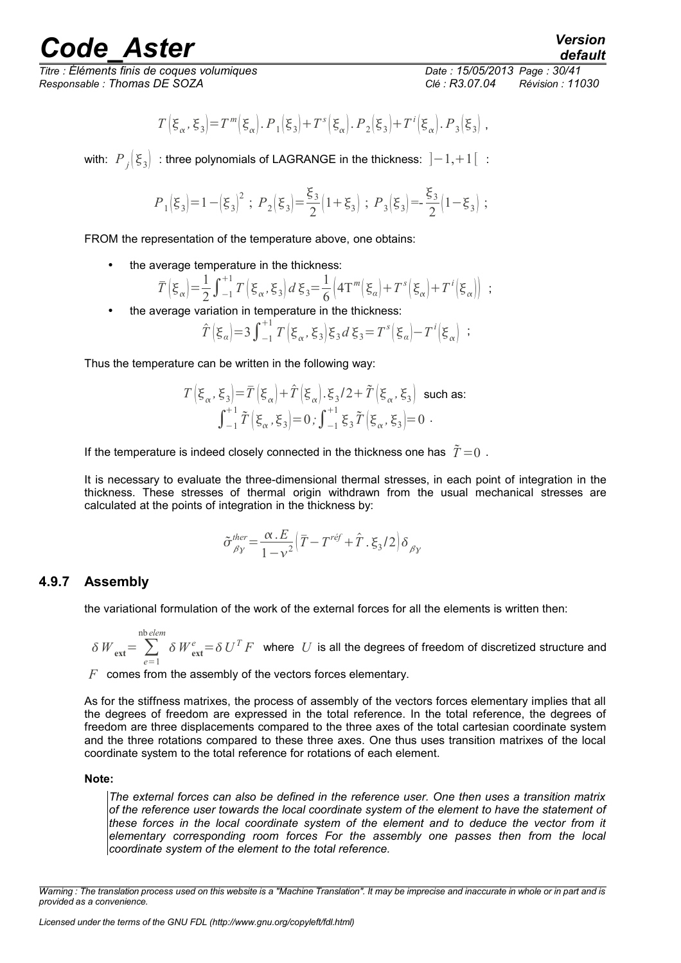*Titre : Éléments finis de coques volumiques Date : 15/05/2013 Page : 30/41 Responsable : Thomas DE SOZA Clé : R3.07.04 Révision : 11030*

$$
T\left(\xi_\alpha,\xi_3\right) = T^{\,m}\!\left(\xi_\alpha\right). \, P_1\!\left(\xi_3\right) + T^{\,s}\!\left(\xi_\alpha\right). \, P_2\!\left(\xi_3\right) + T^{\,i}\!\left(\xi_\alpha\right). \, P_3\!\left(\xi_3\right) \, ,
$$

with:  $P_i(\xi_3)$ : three polynomials of LAGRANGE in the thickness:  $]-1,+1[$ :

$$
P_{1}\!\left(\xi_{3}\right)\!=\!1-\!\left(\xi_{3}\right)^{2}\,;\;P_{2}\!\left(\xi_{3}\right)\!=\!\frac{\xi_{3}}{2}\!\!\left(1\!+\!\xi_{3}\right)\,;\;P_{3}\!\left(\xi_{3}\right)\!=\!\!-\!\frac{\xi_{3}}{2}\!\!\left(1\!-\!\xi_{3}\right)\,;
$$

FROM the representation of the temperature above, one obtains:

the average temperature in the thickness:

$$
\overline{T}\left(\xi_{\alpha}\right) = \frac{1}{2} \int_{-1}^{+1} T\left(\xi_{\alpha}, \xi_{3}\right) d\xi_{3} = \frac{1}{6} \left(4T^{m}\left(\xi_{\alpha}\right) + T^{s}\left(\xi_{\alpha}\right) + T^{i}\left(\xi_{\alpha}\right)\right) ;
$$

the average variation in temperature in the thickness:

$$
\hat{T}(\xi_{\alpha})=3\int_{-1}^{+1}T(\xi_{\alpha},\xi_3)\xi_3 d\xi_3=T^s(\xi_{\alpha})-T^i(\xi_{\alpha}) ;
$$

Thus the temperature can be written in the following way:

$$
T\left(\xi_{\alpha}, \xi_{3}\right) = \overline{T}\left(\xi_{\alpha}\right) + \hat{T}\left(\xi_{\alpha}\right).\xi_{3}/2 + \tilde{T}\left(\xi_{\alpha}, \xi_{3}\right) \text{ such as:}
$$

$$
\int_{-1}^{+1} \tilde{T}\left(\xi_{\alpha}, \xi_{3}\right) = 0; \int_{-1}^{+1} \xi_{3} \tilde{T}\left(\xi_{\alpha}, \xi_{3}\right) = 0.
$$

If the temperature is indeed closely connected in the thickness one has  $\tilde{T}=0$ .

It is necessary to evaluate the three-dimensional thermal stresses, in each point of integration in the thickness. These stresses of thermal origin withdrawn from the usual mechanical stresses are calculated at the points of integration in the thickness by:

$$
\tilde{\sigma}_{\beta\gamma}^{\textit{ther}}\!=\!\frac{\alpha\,.\,E}{1-\mathrm{v}^2}\!\left(\bar{T}-T^{\mathrm{r\acute{e}f}}+\hat{T}\,.\,\xi_3/2\right)\!\delta_{\beta\gamma}
$$

#### **4.9.7 Assembly**

<span id="page-29-0"></span>the variational formulation of the work of the external forces for all the elements is written then:

$$
\delta W_{\text{ext}} = \sum_{e=1}^{\text{nb} \text{ elem}} \delta W_{\text{ext}}^e = \delta U^T F
$$
 where U is all the degrees of freedom of discretized structure and

*F* comes from the assembly of the vectors forces elementary.

As for the stiffness matrixes, the process of assembly of the vectors forces elementary implies that all the degrees of freedom are expressed in the total reference. In the total reference, the degrees of freedom are three displacements compared to the three axes of the total cartesian coordinate system and the three rotations compared to these three axes. One thus uses transition matrixes of the local coordinate system to the total reference for rotations of each element.

#### **Note:**

*The external forces can also be defined in the reference user. One then uses a transition matrix of the reference user towards the local coordinate system of the element to have the statement of these forces in the local coordinate system of the element and to deduce the vector from it elementary corresponding room forces For the assembly one passes then from the local coordinate system of the element to the total reference.*

*default*

*Warning : The translation process used on this website is a "Machine Translation". It may be imprecise and inaccurate in whole or in part and is provided as a convenience.*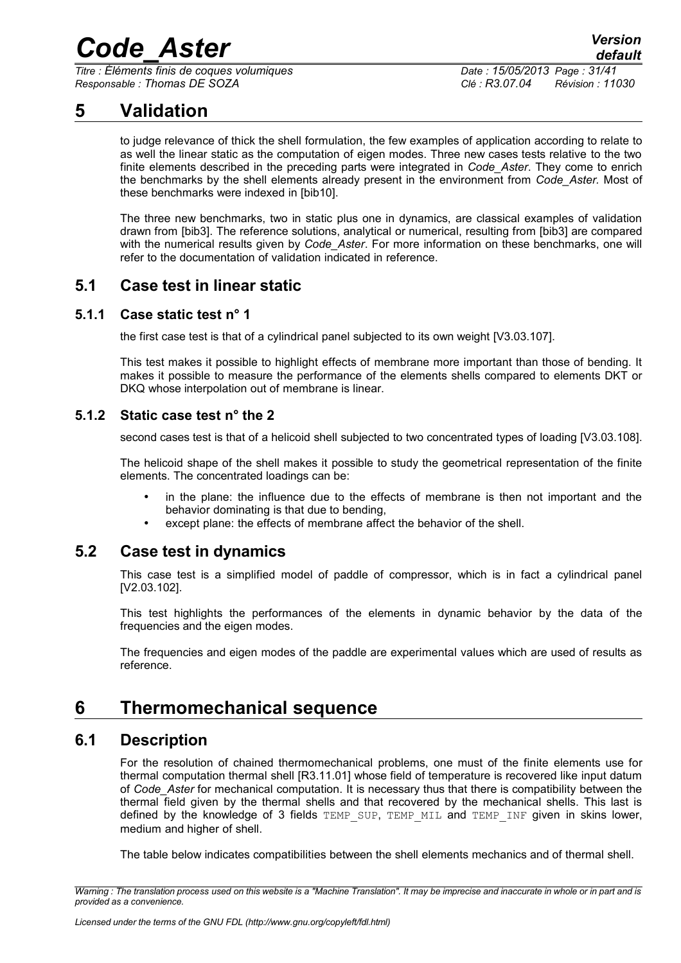*Titre : Éléments finis de coques volumiques Date : 15/05/2013 Page : 31/41 Responsable : Thomas DE SOZA Clé : R3.07.04 Révision : 11030*

## **5 Validation**

<span id="page-30-6"></span>to judge relevance of thick the shell formulation, the few examples of application according to relate to as well the linear static as the computation of eigen modes. Three new cases tests relative to the two finite elements described in the preceding parts were integrated in *Code\_Aster*. They come to enrich the benchmarks by the shell elements already present in the environment from *Code\_Aster.* Most of these benchmarks were indexed in [bib10].

The three new benchmarks, two in static plus one in dynamics, are classical examples of validation drawn from [bib3]. The reference solutions, analytical or numerical, resulting from [bib3] are compared with the numerical results given by *Code\_Aster*. For more information on these benchmarks, one will refer to the documentation of validation indicated in reference.

### <span id="page-30-5"></span>**5.1 Case test in linear static**

#### **5.1.1 Case static test n° 1**

<span id="page-30-4"></span>the first case test is that of a cylindrical panel subjected to its own weight [V3.03.107].

This test makes it possible to highlight effects of membrane more important than those of bending. It makes it possible to measure the performance of the elements shells compared to elements DKT or DKQ whose interpolation out of membrane is linear.

### **5.1.2 Static case test n° the 2**

<span id="page-30-3"></span>second cases test is that of a helicoid shell subjected to two concentrated types of loading [V3.03.108].

The helicoid shape of the shell makes it possible to study the geometrical representation of the finite elements. The concentrated loadings can be:

- in the plane: the influence due to the effects of membrane is then not important and the behavior dominating is that due to bending,
- except plane: the effects of membrane affect the behavior of the shell.

### **5.2 Case test in dynamics**

<span id="page-30-2"></span>This case test is a simplified model of paddle of compressor, which is in fact a cylindrical panel [V2.03.102].

This test highlights the performances of the elements in dynamic behavior by the data of the frequencies and the eigen modes.

The frequencies and eigen modes of the paddle are experimental values which are used of results as reference.

## <span id="page-30-1"></span>**6 Thermomechanical sequence**

### **6.1 Description**

<span id="page-30-0"></span>For the resolution of chained thermomechanical problems, one must of the finite elements use for thermal computation thermal shell [R3.11.01] whose field of temperature is recovered like input datum of *Code\_Aster* for mechanical computation. It is necessary thus that there is compatibility between the thermal field given by the thermal shells and that recovered by the mechanical shells. This last is defined by the knowledge of 3 fields TEMP SUP, TEMP MIL and TEMP INF given in skins lower, medium and higher of shell.

The table below indicates compatibilities between the shell elements mechanics and of thermal shell.

*Warning : The translation process used on this website is a "Machine Translation". It may be imprecise and inaccurate in whole or in part and is provided as a convenience.*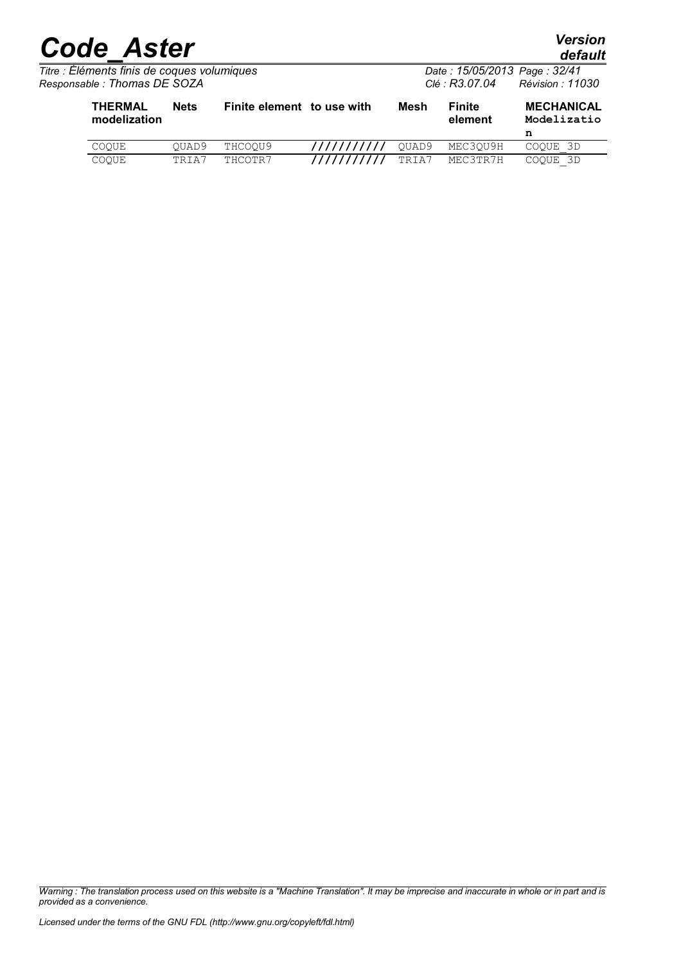| <b>Code Aster</b> | <b>Version</b><br>default |
|-------------------|---------------------------|
|                   |                           |

*default*

| Titre : Éléments finis de coques volumiques<br>Responsable : Thomas DE SOZA |             |                            |      | Date: 15/05/2013 Page: 32/41<br>Révision : 11030<br>Clé : R3.07.04 |                   |                                       |
|-----------------------------------------------------------------------------|-------------|----------------------------|------|--------------------------------------------------------------------|-------------------|---------------------------------------|
| <b>THERMAL</b><br>modelization                                              | <b>Nets</b> | Finite element to use with | Mesh |                                                                    | Finite<br>element | <b>MECHANICAL</b><br>Modelizatio<br>n |

| COOUE        | OUAD9 | THCOOU9 | /////////// QUAD9 MEC3QU9H |       |          | COOUE 3D |
|--------------|-------|---------|----------------------------|-------|----------|----------|
| <b>COOUE</b> | TRIA7 | THCOTR7 | ///////////                | TRIA7 | MEC3TR7H | COOUE 3D |

*Warning : The translation process used on this website is a "Machine Translation". It may be imprecise and inaccurate in whole or in part and is provided as a convenience.*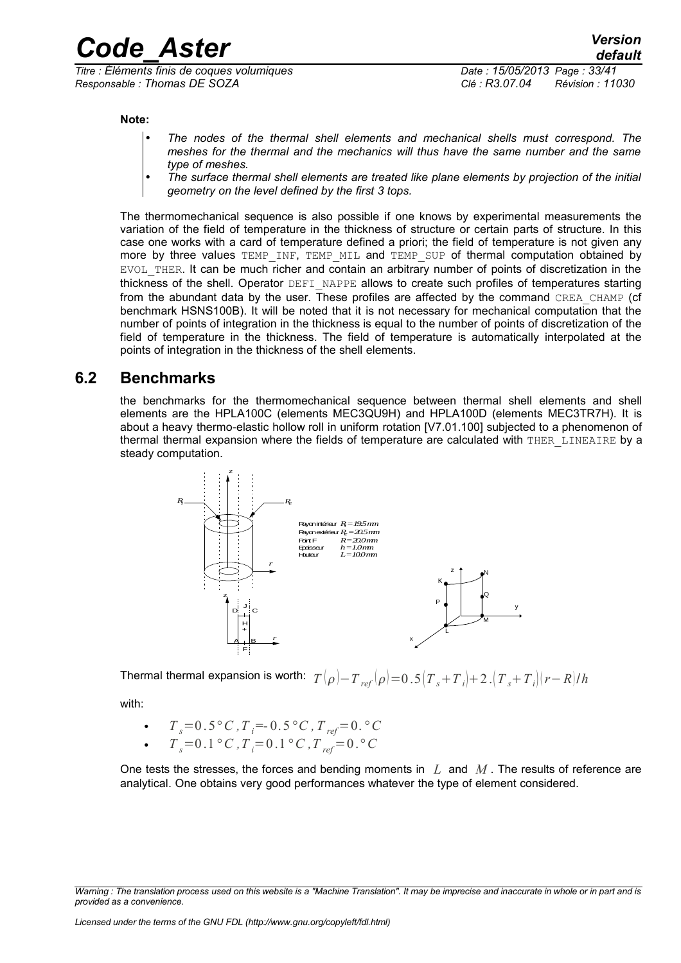*Titre : Éléments finis de coques volumiques Date : 15/05/2013 Page : 33/41 Responsable : Thomas DE SOZA Clé : R3.07.04 Révision : 11030*

**Note:**

- *The nodes of the thermal shell elements and mechanical shells must correspond. The meshes for the thermal and the mechanics will thus have the same number and the same type of meshes.*
- *The surface thermal shell elements are treated like plane elements by projection of the initial geometry on the level defined by the first 3 tops.*

The thermomechanical sequence is also possible if one knows by experimental measurements the variation of the field of temperature in the thickness of structure or certain parts of structure. In this case one works with a card of temperature defined a priori; the field of temperature is not given any more by three values TEMP\_INF, TEMP\_MIL and TEMP\_SUP of thermal computation obtained by EVOL\_THER. It can be much richer and contain an arbitrary number of points of discretization in the thickness of the shell. Operator DEFI\_NAPPE allows to create such profiles of temperatures starting from the abundant data by the user. These profiles are affected by the command CREA\_CHAMP (cf benchmark HSNS100B). It will be noted that it is not necessary for mechanical computation that the number of points of integration in the thickness is equal to the number of points of discretization of the field of temperature in the thickness. The field of temperature is automatically interpolated at the points of integration in the thickness of the shell elements.

### **6.2 Benchmarks**

<span id="page-32-0"></span>the benchmarks for the thermomechanical sequence between thermal shell elements and shell elements are the HPLA100C (elements MEC3QU9H) and HPLA100D (elements MEC3TR7H). It is about a heavy thermo-elastic hollow roll in uniform rotation [V7.01.100] subjected to a phenomenon of thermal thermal expansion where the fields of temperature are calculated with THER LINEAIRE by a steady computation.



Thermal thermal expansion is worth:  $T(\rho) - T_{ref}(\rho) = 0.5(T_s + T_i) + 2 \cdot (T_s + T_i)(r - R)/h$ 

with:

• 
$$
T_s = 0.5 \degree C
$$
,  $T_i = -0.5 \degree C$ ,  $T_{ref} = 0.8 \degree C$   
 $T_s = 0.1 \degree C$ ,  $T_s = 0.1 \degree C$ ,  $T_s = 0.8 \degree C$ 

 $T_s = 0.1 \degree C$ ,  $T_i = 0.1 \degree C$ ,  $T_{ref} = 0.8 \degree C$ 

One tests the stresses, the forces and bending moments in *L* and *M* . The results of reference are analytical. One obtains very good performances whatever the type of element considered.

*Warning : The translation process used on this website is a "Machine Translation". It may be imprecise and inaccurate in whole or in part and is provided as a convenience.*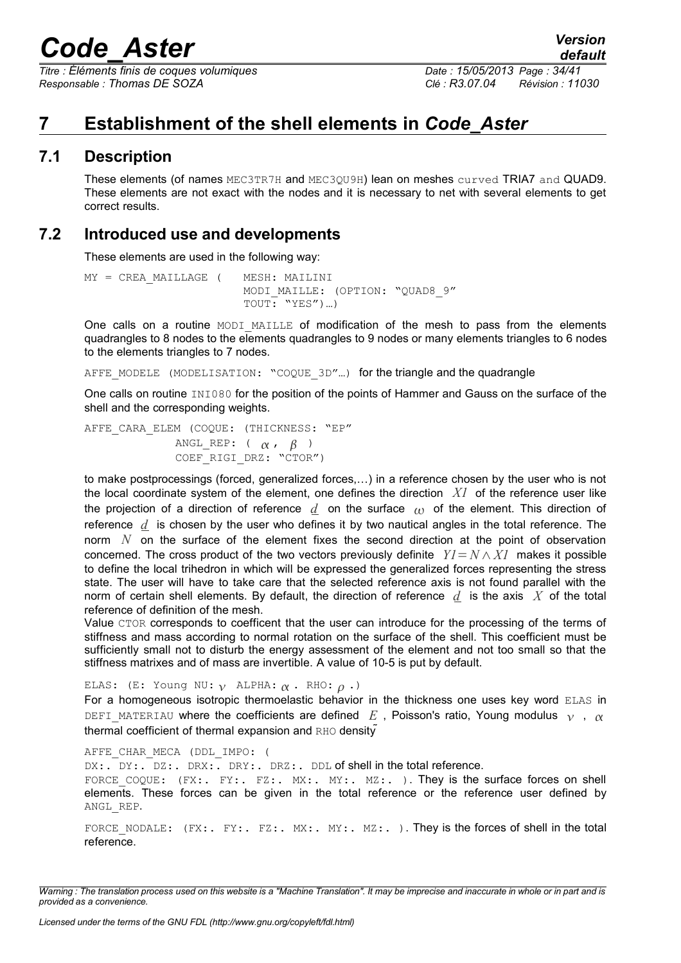*Titre : Éléments finis de coques volumiques Date : 15/05/2013 Page : 34/41 Responsable : Thomas DE SOZA Clé : R3.07.04 Révision : 11030*

## <span id="page-33-2"></span>**7 Establishment of the shell elements in** *Code\_Aster*

### **7.1 Description**

<span id="page-33-1"></span>These elements (of names MEC3TR7H and MEC3QU9H) lean on meshes curved TRIA7 and QUAD9. These elements are not exact with the nodes and it is necessary to net with several elements to get correct results.

### **7.2 Introduced use and developments**

<span id="page-33-0"></span>These elements are used in the following way:

```
MY = CREA_MAILLAGE ( MESH: MAILINI
                       MODI_MAILLE: (OPTION: "QUAD8_9"
                       TOUT: "YES")...)
```
One calls on a routine MODI MAILLE of modification of the mesh to pass from the elements quadrangles to 8 nodes to the elements quadrangles to 9 nodes or many elements triangles to 6 nodes to the elements triangles to 7 nodes.

AFFE\_MODELE\_(MODELISATION: "COQUE\_3D"...) for the triangle and the quadrangle

One calls on routine INI080 for the position of the points of Hammer and Gauss on the surface of the shell and the corresponding weights.

AFFE CARA ELEM (COQUE: (THICKNESS: "EP" ANGL\_REP:  $( \alpha, \beta)$ COEF\_RIGI\_DRZ: "CTOR")

to make postprocessings (forced, generalized forces,…) in a reference chosen by the user who is not the local coordinate system of the element, one defines the direction *X1* of the reference user like the projection of a direction of reference  $d$  on the surface  $\alpha$  of the element. This direction of reference *d* is chosen by the user who defines it by two nautical angles in the total reference. The norm *N* on the surface of the element fixes the second direction at the point of observation concerned. The cross product of the two vectors previously definite  $YI = N \wedge XI$  makes it possible to define the local trihedron in which will be expressed the generalized forces representing the stress state. The user will have to take care that the selected reference axis is not found parallel with the norm of certain shell elements. By default, the direction of reference *d* is the axis *X* of the total reference of definition of the mesh.

Value CTOR corresponds to coefficent that the user can introduce for the processing of the terms of stiffness and mass according to normal rotation on the surface of the shell. This coefficient must be sufficiently small not to disturb the energy assessment of the element and not too small so that the stiffness matrixes and of mass are invertible. A value of 10-5 is put by default.

ELAS: (E: Young NU:  $\gamma$  ALPHA:  $\alpha$ . RHO:  $\rho$ .) For a homogeneous isotropic thermoelastic behavior in the thickness one uses key word ELAS in DEFI\_MATERIAU where the coefficients are defined *E*, Poisson's ratio, Young modulus  $\gamma$ ,  $\alpha$ thermal coefficient of thermal expansion and RHO density

AFFE CHAR MECA (DDL IMPO: (

DX:. DY:. DZ:. DRX:. DRY:. DRZ:. DDL of shell in the total reference.

FORCE COQUE: (FX:. FY:. FZ:. MX:. MY:. MZ:. ). They is the surface forces on shell elements. These forces can be given in the total reference or the reference user defined by ANGL\_REP.

FORCE\_NODALE: (FX:. FY:. FZ:. MX:. MY:. MZ:. ). They is the forces of shell in the total reference.

*Warning : The translation process used on this website is a "Machine Translation". It may be imprecise and inaccurate in whole or in part and is provided as a convenience.*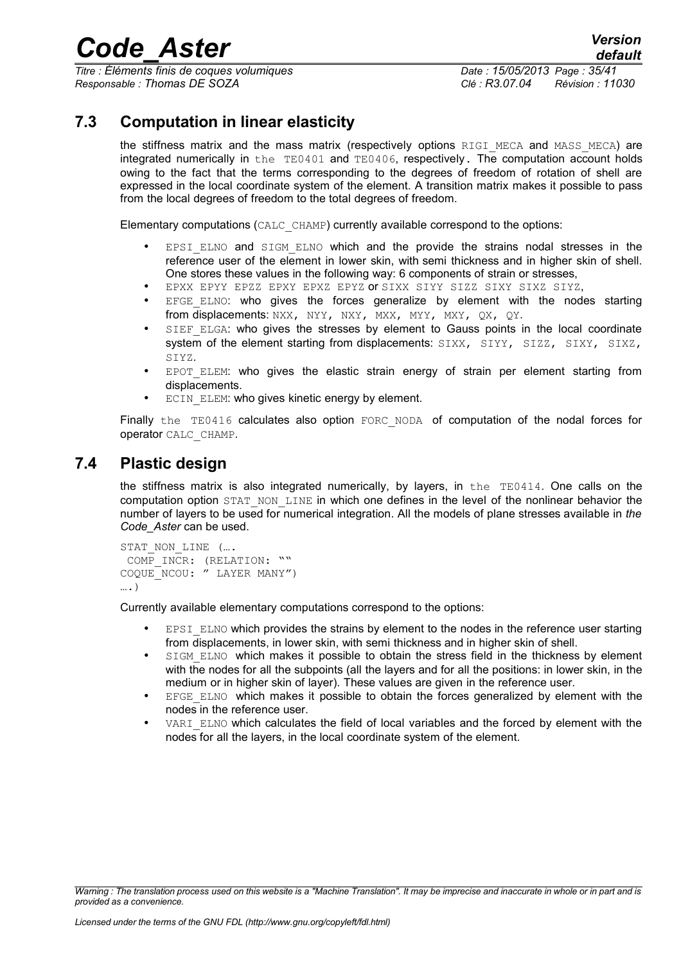*Titre : Éléments finis de coques volumiques Date : 15/05/2013 Page : 35/41 Responsable : Thomas DE SOZA Clé : R3.07.04 Révision : 11030*

### **7.3 Computation in linear elasticity**

<span id="page-34-1"></span>the stiffness matrix and the mass matrix (respectively options RIGI MECA and MASS MECA) are integrated numerically in the TE0401 and TE0406, respectively. The computation account holds owing to the fact that the terms corresponding to the degrees of freedom of rotation of shell are expressed in the local coordinate system of the element. A transition matrix makes it possible to pass from the local degrees of freedom to the total degrees of freedom.

Elementary computations (CALC\_CHAMP) currently available correspond to the options:

- EPSI ELNO and SIGM ELNO which and the provide the strains nodal stresses in the reference user of the element in lower skin, with semi thickness and in higher skin of shell. One stores these values in the following way: 6 components of strain or stresses,
- EPXX EPYY EPZZ EPXY EPXZ EPYZ or SIXX SIYY SIZZ SIXY SIXZ SIYZ,
- EFGE ELNO: who gives the forces generalize by element with the nodes starting from displacements: NXX, NYY, NXY, MXX, MYY, MXY, QX, QY.
- SIEF ELGA: who gives the stresses by element to Gauss points in the local coordinate system of the element starting from displacements: SIXX, SIYY, SIZZ, SIXY, SIXZ, SIYZ.
- EPOT ELEM: who gives the elastic strain energy of strain per element starting from displacements.
- ECIN ELEM: who gives kinetic energy by element.

Finally the TE0416 calculates also option FORC NODA of computation of the nodal forces for operator CALC\_CHAMP.

### **7.4 Plastic design**

<span id="page-34-0"></span>the stiffness matrix is also integrated numerically, by layers, in the TE0414. One calls on the computation option STAT\_NON\_LINE in which one defines in the level of the nonlinear behavior the number of layers to be used for numerical integration. All the models of plane stresses available in *the Code\_Aster* can be used.

```
STAT_NON_LINE (....
COMP INCR: (RELATION: ""
COQUE_NCOU: " LAYER MANY")
….)
```
Currently available elementary computations correspond to the options:

- EPSI\_ELNO which provides the strains by element to the nodes in the reference user starting from displacements, in lower skin, with semi thickness and in higher skin of shell.
- SIGM\_ELNO which makes it possible to obtain the stress field in the thickness by element with the nodes for all the subpoints (all the layers and for all the positions: in lower skin, in the medium or in higher skin of layer). These values are given in the reference user.
- EFGE ELNO which makes it possible to obtain the forces generalized by element with the nodes in the reference user.
- VARI ELNO which calculates the field of local variables and the forced by element with the nodes for all the layers, in the local coordinate system of the element.

*Warning : The translation process used on this website is a "Machine Translation". It may be imprecise and inaccurate in whole or in part and is provided as a convenience.*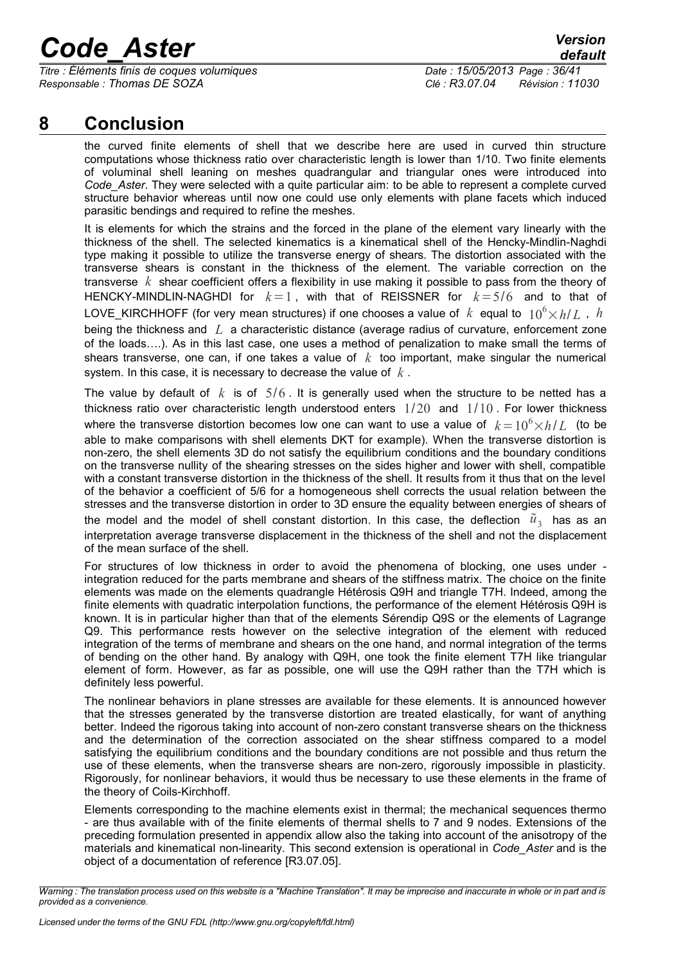*Titre : Éléments finis de coques volumiques Date : 15/05/2013 Page : 36/41 Responsable : Thomas DE SOZA Clé : R3.07.04 Révision : 11030*

## **8 Conclusion**

<span id="page-35-0"></span>the curved finite elements of shell that we describe here are used in curved thin structure computations whose thickness ratio over characteristic length is lower than 1/10. Two finite elements of voluminal shell leaning on meshes quadrangular and triangular ones were introduced into *Code* Aster. They were selected with a quite particular aim: to be able to represent a complete curved structure behavior whereas until now one could use only elements with plane facets which induced parasitic bendings and required to refine the meshes.

It is elements for which the strains and the forced in the plane of the element vary linearly with the thickness of the shell. The selected kinematics is a kinematical shell of the Hencky-Mindlin-Naghdi type making it possible to utilize the transverse energy of shears. The distortion associated with the transverse shears is constant in the thickness of the element. The variable correction on the transverse *k* shear coefficient offers a flexibility in use making it possible to pass from the theory of HENCKY-MINDLIN-NAGHDI for *k*=1 , with that of REISSNER for *k*=5/6 and to that of LOVE\_KIRCHHOFF (for very mean structures) if one chooses a value of  $k$  equal to  $10^6 \times h/L$ , *h* being the thickness and *L* a characteristic distance (average radius of curvature, enforcement zone of the loads….). As in this last case, one uses a method of penalization to make small the terms of shears transverse, one can, if one takes a value of  $k$  too important, make singular the numerical system. In this case, it is necessary to decrease the value of *k* .

The value by default of  $k$  is of  $5/6$ . It is generally used when the structure to be netted has a thickness ratio over characteristic length understood enters  $1/20$  and  $1/10$ . For lower thickness where the transverse distortion becomes low one can want to use a value of  $k=10^6\times h/L$  (to be able to make comparisons with shell elements DKT for example). When the transverse distortion is non-zero, the shell elements 3D do not satisfy the equilibrium conditions and the boundary conditions on the transverse nullity of the shearing stresses on the sides higher and lower with shell, compatible with a constant transverse distortion in the thickness of the shell. It results from it thus that on the level of the behavior a coefficient of 5/6 for a homogeneous shell corrects the usual relation between the stresses and the transverse distortion in order to 3D ensure the equality between energies of shears of the model and the model of shell constant distortion. In this case, the deflection  $\tilde u^{}_3\,$  has as an interpretation average transverse displacement in the thickness of the shell and not the displacement of the mean surface of the shell.

For structures of low thickness in order to avoid the phenomena of blocking, one uses under integration reduced for the parts membrane and shears of the stiffness matrix. The choice on the finite elements was made on the elements quadrangle Hétérosis Q9H and triangle T7H. Indeed, among the finite elements with quadratic interpolation functions, the performance of the element Hétérosis Q9H is known. It is in particular higher than that of the elements Sérendip Q9S or the elements of Lagrange Q9. This performance rests however on the selective integration of the element with reduced integration of the terms of membrane and shears on the one hand, and normal integration of the terms of bending on the other hand. By analogy with Q9H, one took the finite element T7H like triangular element of form. However, as far as possible, one will use the Q9H rather than the T7H which is definitely less powerful.

The nonlinear behaviors in plane stresses are available for these elements. It is announced however that the stresses generated by the transverse distortion are treated elastically, for want of anything better. Indeed the rigorous taking into account of non-zero constant transverse shears on the thickness and the determination of the correction associated on the shear stiffness compared to a model satisfying the equilibrium conditions and the boundary conditions are not possible and thus return the use of these elements, when the transverse shears are non-zero, rigorously impossible in plasticity. Rigorously, for nonlinear behaviors, it would thus be necessary to use these elements in the frame of the theory of Coils-Kirchhoff.

Elements corresponding to the machine elements exist in thermal; the mechanical sequences thermo - are thus available with of the finite elements of thermal shells to 7 and 9 nodes. Extensions of the preceding formulation presented in appendix allow also the taking into account of the anisotropy of the materials and kinematical non-linearity. This second extension is operational in *Code\_Aster* and is the object of a documentation of reference [R3.07.05].

*Warning : The translation process used on this website is a "Machine Translation". It may be imprecise and inaccurate in whole or in part and is provided as a convenience.*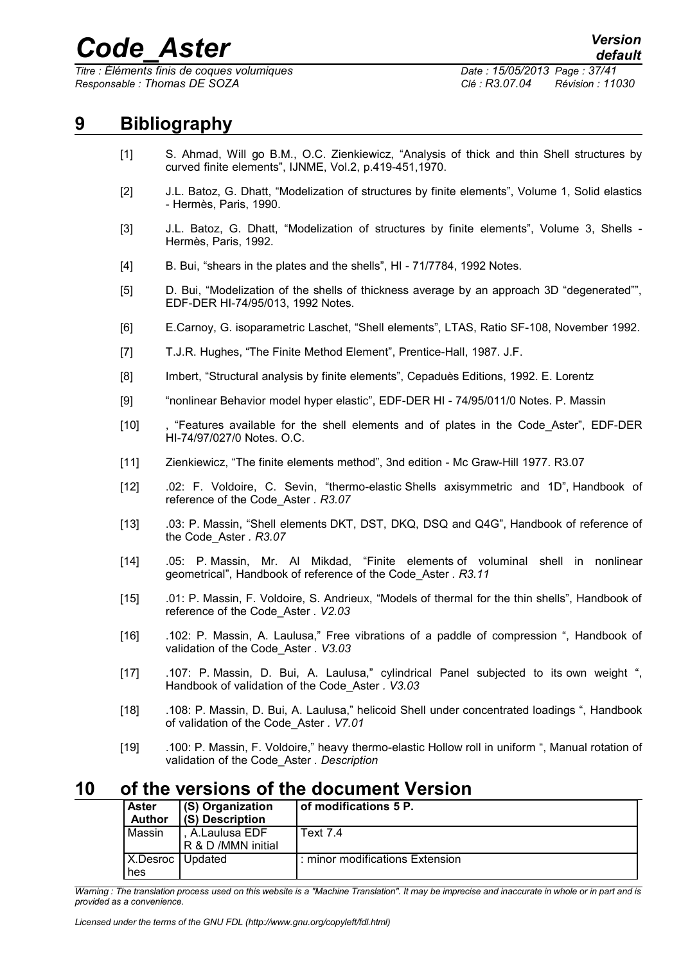*Titre : Éléments finis de coques volumiques Date : 15/05/2013 Page : 37/41 Responsable : Thomas DE SOZA Clé : R3.07.04 Révision : 11030*

## **9 Bibliography**

- <span id="page-36-1"></span>[1] S. Ahmad, Will go B.M., O.C. Zienkiewicz, "Analysis of thick and thin Shell structures by curved finite elements", IJNME, Vol.2, p.419-451,1970.
- [2] J.L. Batoz, G. Dhatt, "Modelization of structures by finite elements", Volume 1, Solid elastics - Hermès, Paris, 1990.
- [3] J.L. Batoz, G. Dhatt, "Modelization of structures by finite elements", Volume 3, Shells Hermès, Paris, 1992.
- [4] B. Bui, "shears in the plates and the shells", HI 71/7784, 1992 Notes.
- [5] D. Bui, "Modelization of the shells of thickness average by an approach 3D "degenerated"", EDF-DER HI-74/95/013, 1992 Notes.
- [6] E.Carnoy, G. isoparametric Laschet, "Shell elements", LTAS, Ratio SF-108, November 1992.
- [7] T.J.R. Hughes, "The Finite Method Element", Prentice-Hall, 1987. J.F.
- [8] Imbert, "Structural analysis by finite elements", Cepaduès Editions, 1992. E. Lorentz
- [9] "nonlinear Behavior model hyper elastic", EDF-DER HI 74/95/011/0 Notes. P. Massin
- [10] , "Features available for the shell elements and of plates in the Code\_Aster", EDF-DER HI-74/97/027/0 Notes. O.C.
- [11] Zienkiewicz, "The finite elements method", 3nd edition Mc Graw-Hill 1977. R3.07
- [12] .02: F. Voldoire, C. Sevin, "thermo-elastic Shells axisymmetric and 1D", Handbook of reference of the Code\_Aster *. R3.07*
- [13] .03: P. Massin, "Shell elements DKT, DST, DKQ, DSQ and Q4G", Handbook of reference of the Code\_Aster *. R3.07*
- [14] .05: P. Massin, Mr. Al Mikdad, "Finite elements of voluminal shell in nonlinear geometrical", Handbook of reference of the Code\_Aster *. R3.11*
- [15] .01: P. Massin, F. Voldoire, S. Andrieux, "Models of thermal for the thin shells", Handbook of reference of the Code\_Aster *. V2.03*
- [16] .102: P. Massin, A. Laulusa," Free vibrations of a paddle of compression ", Handbook of validation of the Code\_Aster *. V3.03*
- [17] .107: P. Massin, D. Bui, A. Laulusa," cylindrical Panel subjected to its own weight ", Handbook of validation of the Code\_Aster *. V3.03*
- [18] .108: P. Massin, D. Bui, A. Laulusa," helicoid Shell under concentrated loadings ", Handbook of validation of the Code\_Aster *. V7.01*
- [19] .100: P. Massin, F. Voldoire," heavy thermo-elastic Hollow roll in uniform ", Manual rotation of validation of the Code\_Aster *. Description*

### **10 of the versions of the document Version**

<span id="page-36-0"></span>

|  | <b>Aster</b>    | (S) Organization                    | of modifications 5 P.           |
|--|-----------------|-------------------------------------|---------------------------------|
|  | <b>Author</b>   | (S) Description                     |                                 |
|  | Massin          | A.Laulusa EDF<br>R & D /MMN initial | Text 7.4                        |
|  | X.Desroc<br>hes | Updated                             | : minor modifications Extension |

*Warning : The translation process used on this website is a "Machine Translation". It may be imprecise and inaccurate in whole or in part and is provided as a convenience.*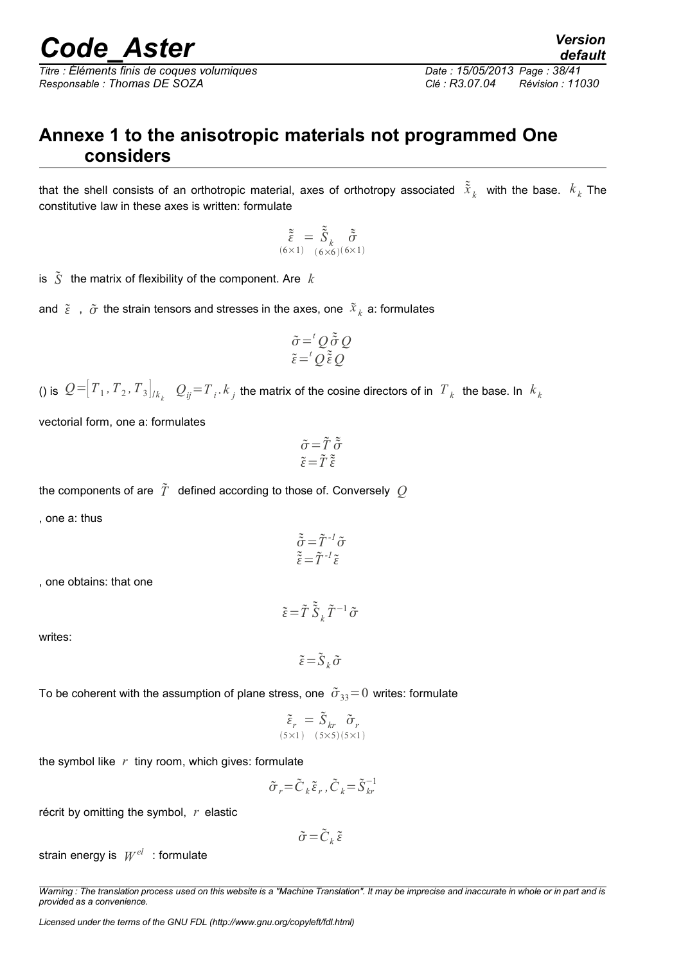*Titre : Éléments finis de coques volumiques Date : 15/05/2013 Page : 38/41 Responsable : Thomas DE SOZA Clé : R3.07.04 Révision : 11030*

*default*

## <span id="page-37-0"></span>**Annexe 1 to the anisotropic materials not programmed One considers**

that the shell consists of an orthotropic material, axes of orthotropy associated  $\tilde{\tilde{x}}_k$  with the base.  $k_k$  The constitutive law in these axes is written: formulate

$$
\tilde{\tilde{\xi}} = \tilde{\tilde{S}}_k \tilde{\tilde{\sigma}}
$$
  

$$
\tilde{\tilde{\delta}}_{(6 \times 1) - (6 \times 6)(6 \times 1)}
$$

is  $\tilde{S}$  the matrix of flexibility of the component. Are  $k$ 

and  $\tilde{\varepsilon}$  ,  $\tilde{\sigma}$  the strain tensors and stresses in the axes, one  $\tilde{x}_k$  a: formulates

$$
\tilde{\sigma} = {}^{t}Q \tilde{\tilde{\sigma}} Q
$$
  

$$
\tilde{\epsilon} = {}^{t}Q \tilde{\tilde{\epsilon}} Q
$$

() is  $\mathcal{Q} = [T_1, T_2, T_3]_{/k_k}$  .  $\mathcal{Q}_{ij}$   $=$   $T_i$   $\cdot$   $k_j$  the matrix of the cosine directors of in  $\ T_k$  the base. In  $\ k_k$ 

vectorial form, one a: formulates

$$
\begin{array}{c}\n\tilde{\sigma} = \tilde{T} \; \tilde{\tilde{\sigma}} \\
\tilde{\epsilon} = \tilde{T} \; \tilde{\tilde{\epsilon}}\n\end{array}
$$

the components of are 
$$
\tilde{T}
$$
 defined according to those of. Conversely  $Q$ 

, one a: thus

$$
\begin{aligned}\n\tilde{\tilde{\sigma}} &= \tilde{T}^{-1} \tilde{\sigma} \\
\tilde{\tilde{\epsilon}} &= \tilde{T}^{-1} \tilde{\epsilon}\n\end{aligned}
$$

, one obtains: that one

writes:

 $\tilde{\varepsilon} = \tilde{S}_k \tilde{\sigma}$ 

 $\tilde{\varepsilon} = \tilde{T} \, \tilde{\tilde{S}}_k \, \tilde{T}^{-1} \, \tilde{\sigma}$ 

To be coherent with the assumption of plane stress, one  $\tilde{\sigma}_{33}=0$  writes: formulate

 *r* 5×1 = *S kr* 5×5 *r* 5×1

the symbol like *r* tiny room, which gives: formulate

$$
\tilde{\sigma}_r = \tilde{C}_k \tilde{\varepsilon}_r, \tilde{C}_k = \tilde{S}_{kr}^{-1}
$$

récrit by omitting the symbol, *r* elastic

$$
\tilde{\sigma} = \tilde{C}_k \tilde{\varepsilon}
$$

strain energy is  $|W^{el}|$  : formulate

*Warning : The translation process used on this website is a "Machine Translation". It may be imprecise and inaccurate in whole or in part and is provided as a convenience.*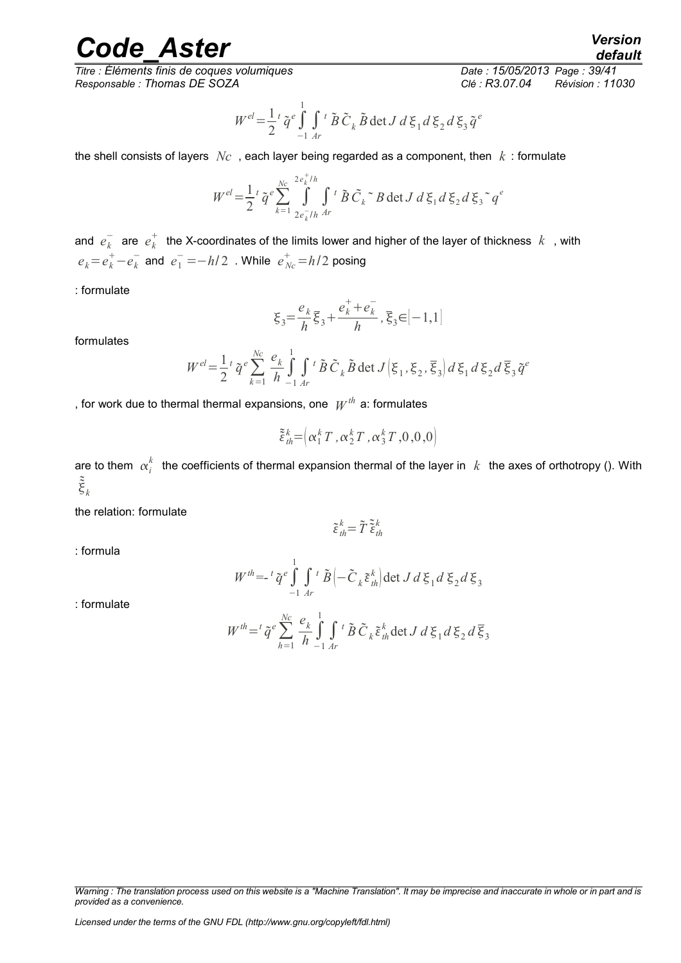*Titre : Éléments finis de coques volumiques Date : 15/05/2013 Page : 39/41 Responsable : Thomas DE SOZA Clé : R3.07.04 Révision : 11030*

*default*

$$
W^{el} = \frac{1}{2} \tilde{q}^e \int_{-1}^{1} \int_{Ar} t \tilde{B} \tilde{C}_k \tilde{B} \det J d\xi_1 d\xi_2 d\xi_3 \tilde{q}^e
$$

the shell consists of layers *Nc* , each layer being regarded as a component, then *k* : formulate

$$
W^{el} = \frac{1}{2} \, \tilde{q}^e \sum_{k=1}^{Nc} \int_{2e_k^{-1}/h}^{2e_k^{+}/h} \int_{4r}^t \tilde{B} \, \tilde{C}_k \, \tilde{B} \, \det J \, d\xi_1 d\xi_2 d\xi_3 \, \tilde{q}^e
$$

and  $e_k^-$  are  $e_k^+$  the X-coordinates of the limits lower and higher of the layer of thickness  $\,k\,$  , with  $e_k = e_k^+ - e_k^-$  and  $e_1^- = -h/2$  . While  $e_{Nc}^+ = h/2$  posing

: formulate

$$
\xi_3 = \frac{e_k}{h} \overline{\xi}_3 + \frac{e_k^+ + e_k^-}{h}, \overline{\xi}_3 \in [-1, 1]
$$

formulates

$$
W^{el} = \frac{1}{2} \, \tilde{q}^e \sum_{k=1}^{N_c} \frac{e_k}{h} \int_{-1}^1 \int_{Ar} t \, \tilde{B} \, \tilde{C}_k \, \tilde{B} \, \det J \Big( \xi_1, \xi_2, \overline{\xi}_3 \Big) \, d \, \xi_1 \, d \, \xi_2 \, d \, \overline{\xi}_3 \, \tilde{q}^e
$$

, for work due to thermal thermal expansions, one  $\textit{W}^{\textit{th}}$  a: formulates

$$
\tilde{\xi}_{th}^{k} = \left( \alpha_1^k T, \alpha_2^k T, \alpha_3^k T, 0, 0, 0 \right)
$$

are to them  $\alpha^k_i$  the coefficients of thermal expansion thermal of the layer in  $|k|$  the axes of orthotropy (). With  $\tilde{\tilde{\xi}}_k$ 

the relation: formulate

$$
\tilde{\varepsilon}_{\text{th}}^k = \tilde{T} \tilde{\tilde{\varepsilon}}_{\text{th}}^k
$$

: formula

$$
W^{th} = -\frac{i}{q} \tilde{q}^e \int_{-1}^{1} \int_{Ar} t \tilde{B} \left( -\tilde{C}_k \tilde{\varepsilon}_{th}^k \right) \det J d\xi_1 d\xi_2 d\xi_3
$$

: formulate

$$
W^{th} = \widetilde{q}^e \sum_{h=1}^{Nc} \frac{e_k}{h} \int_{-1}^1 \int_{Ar} t \widetilde{B} \widetilde{C}_k \widetilde{\varepsilon}_{th}^k \det J \, d\,\xi_1 d\,\xi_2 d\,\overline{\xi}_3
$$

*Warning : The translation process used on this website is a "Machine Translation". It may be imprecise and inaccurate in whole or in part and is provided as a convenience.*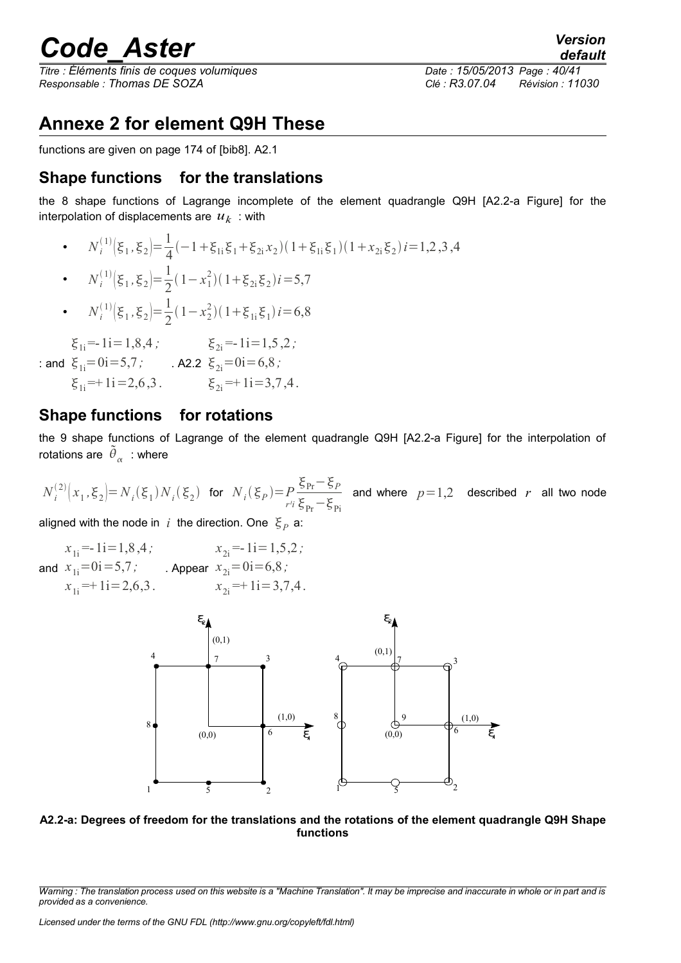# *Code\_Aster*<br>*Code\_Aster Version*<br>*Changle : 15/05/2013 Page* : 40/41

*Titre : Éléments finis de coques volumiques Date : 15/05/2013 Page : 40/41 Responsable : Thomas DE SOZA Clé : R3.07.04 Révision : 11030*

*default*

## <span id="page-39-0"></span>**Annexe 2 for element Q9H These**

functions are given on page 174 of [bib8]. A2.1

### **Shape functions for the translations**

the 8 shape functions of Lagrange incomplete of the element quadrangle Q9H [A2.2-a Figure] for the interpolation of displacements are  $\overline{\overline{u}_k}$  : with

•  $N_i^{(1)}\left(\xi_1, \xi_2\right) = \frac{1}{4}$  $\frac{1}{4}(-1+\xi_{1i}\xi_1+\xi_{2i}x_2)(1+\xi_{1i}\xi_1)(1+x_{2i}\xi_2)i=1,2,3,4$ 

• 
$$
N_i^{(1)}(\xi_1, \xi_2) = \frac{1}{2}(1 - x_1^2)(1 + \xi_{2i}\xi_2)i = 5.7
$$

•  $N_i^{(1)}\left(\xi_1, \xi_2\right) = \frac{1}{2}$  $\frac{1}{2}(1-x_2^2)(1+\xi_{1i}\xi_1)i=6,8$ 

 $\xi_{1i}$ =-1i=1,8,4;  $\xi_{2i}$  = -1i = 1,5,2;

- : and  $\xi_{1i} = 0i = 5,7;$  A2.2  $\xi_{2i}=0i=6,8;$ 
	- $\xi_{1i} = +1i = 2,6,3$ .  $\xi_{2i} = +1i = 3,7,4$ .

### **Shape functions for rotations**

the 9 shape functions of Lagrange of the element quadrangle Q9H [A2.2-a Figure] for the interpolation of rotations are  $\left.\tilde{\theta}_{_{\boldsymbol{\alpha}}} \right.$  : where

 $N_i^{(2)}\big(x_1, \xi_2\big) = N_i(\xi_1)N_i(\xi_2)$  for  $N_i(\xi_p) = P$ *r¹i*  $\xi_{Pr}$ <sup>-</sup> $\xi_{P}$  $\xi_{\rm Pr}-\xi_{\rm Pi}$ and where  $p=1,2$  described  $r$  all two node

aligned with the node in  $|i\rangle$  the direction. One  $|\xi_{P}|$  a:

and  $x_{1i} = 0i = 5,7;$  Appear  $x_{2i} = 0i = 6,8;$  $x_{1i} = -1i = 1,8,4;$  $x_{1i} = 1i = 2,6,3$ .  $x_{2i} = -1i=1,5,2;$  $x_{2i} = 1i = 3,7,4$ .



#### **A2.2-a: Degrees of freedom for the translations and the rotations of the element quadrangle Q9H Shape functions**

*Warning : The translation process used on this website is a "Machine Translation". It may be imprecise and inaccurate in whole or in part and is provided as a convenience.*